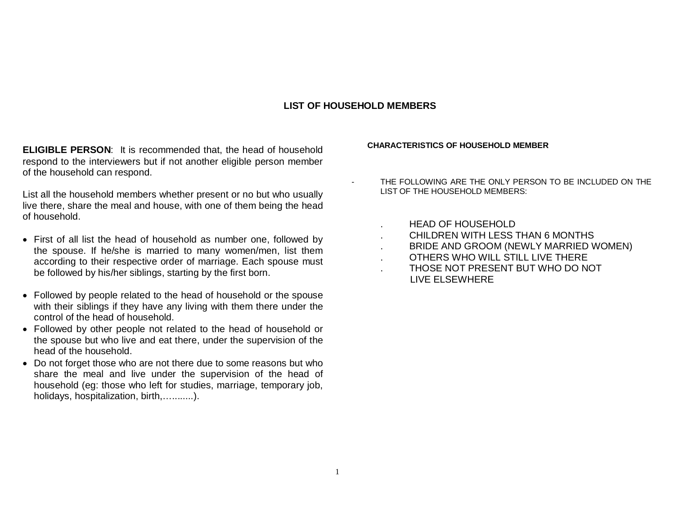### **LIST OF HOUSEHOLD MEMBERS**

**ELIGIBLE PERSON**: It is recommended that, the head of household respond to the interviewers but if not another eligible person member of the household can respond.

List all the household members whether present or no but who usually live there, share the meal and house, with one of them being the head of household.

- First of all list the head of household as number one, followed by the spouse. If he/she is married to many women/men, list them according to their respective order of marriage. Each spouse must be followed by his/her siblings, starting by the first born.
- Followed by people related to the head of household or the spouse with their siblings if they have any living with them there under the control of the head of household.
- Followed by other people not related to the head of household or the spouse but who live and eat there, under the supervision of the head of the household.
- Do not forget those who are not there due to some reasons but who share the meal and live under the supervision of the head of household (eg: those who left for studies, marriage, temporary job, holidays, hospitalization, birth,…........).

### **CHARACTERISTICS OF HOUSEHOLD MEMBER**

- THE FOLLOWING ARE THE ONLY PERSON TO BE INCLUDED ON THE LIST OF THE HOUSEHOLD MEMBERS:
	- . HEAD OF HOUSEHOLD
	- . CHILDREN WITH LESS THAN 6 MONTHS
	- . BRIDE AND GROOM (NEWLY MARRIED WOMEN)
	- . OTHERS WHO WILL STILL LIVE THERE
	- . THOSE NOT PRESENT BUT WHO DO NOT LIVE ELSEWHERE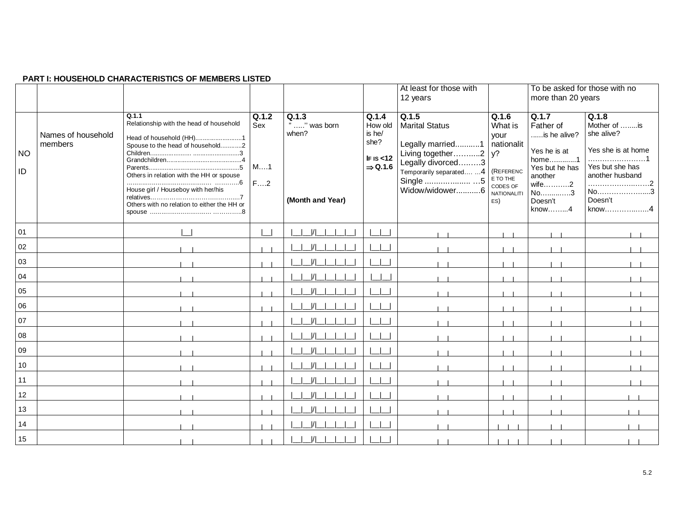### **PART I: HOUSEHOLD CHARACTERISTICS OF MEMBERS LISTED**

|                 |                               |                                                                                                                                                                                                                                                  |                          |                                                    |                                                                        | At least for those with<br>12 years                                                                                                                        |                                                                                                          | To be asked for those with no<br>more than 20 years                                                                                     |                                                                                                                                |
|-----------------|-------------------------------|--------------------------------------------------------------------------------------------------------------------------------------------------------------------------------------------------------------------------------------------------|--------------------------|----------------------------------------------------|------------------------------------------------------------------------|------------------------------------------------------------------------------------------------------------------------------------------------------------|----------------------------------------------------------------------------------------------------------|-----------------------------------------------------------------------------------------------------------------------------------------|--------------------------------------------------------------------------------------------------------------------------------|
| <b>NO</b><br>ID | Names of household<br>members | Q.1.1<br>Relationship with the head of household<br>Head of household (HH)1<br>Spouse to the head of household2<br>Others in relation with the HH or spouse<br>House girl / Houseboy with her/his<br>Others with no relation to either the HH or | Q.1.2<br>Sex<br>M1<br>F2 | Q.1.3<br>" " was born<br>when?<br>(Month and Year) | Q.1.4<br>How old<br>is he/<br>she?<br>IFIS < 12<br>$\Rightarrow$ Q.1.6 | Q.1.5<br><b>Marital Status</b><br>Legally married1<br>Living together2 $y$ ?<br>Legally divorced3<br>Temporarily separated 4<br>Single 5<br>Widow/widower6 | Q.1.6<br>What is<br>your<br>nationalit<br>(REFERENC<br>E TO THE<br>CODES OF<br><b>NATIONALITI</b><br>ES) | Q.1.7<br>Father of<br>is he alive?<br>Yes he is at<br>home1<br>Yes but he has<br>another<br>wife2<br>No3<br>Doesn't<br>$know. \ldots 4$ | Q.1.8<br>Mother of is<br>she alive?<br>Yes she is at home<br>Yes but she has<br>another husband<br>No<br>3<br>Doesn't<br>know4 |
| 01              |                               |                                                                                                                                                                                                                                                  |                          |                                                    |                                                                        |                                                                                                                                                            |                                                                                                          |                                                                                                                                         |                                                                                                                                |
| 02              |                               |                                                                                                                                                                                                                                                  |                          |                                                    |                                                                        |                                                                                                                                                            |                                                                                                          |                                                                                                                                         |                                                                                                                                |
| 03              |                               |                                                                                                                                                                                                                                                  |                          |                                                    |                                                                        |                                                                                                                                                            |                                                                                                          |                                                                                                                                         |                                                                                                                                |
| 04              |                               |                                                                                                                                                                                                                                                  |                          |                                                    |                                                                        |                                                                                                                                                            |                                                                                                          |                                                                                                                                         |                                                                                                                                |
| 05              |                               |                                                                                                                                                                                                                                                  |                          |                                                    |                                                                        |                                                                                                                                                            |                                                                                                          |                                                                                                                                         |                                                                                                                                |
| 06              |                               |                                                                                                                                                                                                                                                  |                          |                                                    |                                                                        |                                                                                                                                                            |                                                                                                          |                                                                                                                                         |                                                                                                                                |
| 07              |                               |                                                                                                                                                                                                                                                  |                          |                                                    |                                                                        |                                                                                                                                                            |                                                                                                          |                                                                                                                                         |                                                                                                                                |
| 08              |                               |                                                                                                                                                                                                                                                  |                          |                                                    |                                                                        |                                                                                                                                                            |                                                                                                          |                                                                                                                                         |                                                                                                                                |
| 09              |                               |                                                                                                                                                                                                                                                  |                          |                                                    |                                                                        |                                                                                                                                                            |                                                                                                          |                                                                                                                                         |                                                                                                                                |
| 10              |                               |                                                                                                                                                                                                                                                  |                          |                                                    |                                                                        |                                                                                                                                                            |                                                                                                          |                                                                                                                                         |                                                                                                                                |
| 11              |                               |                                                                                                                                                                                                                                                  |                          |                                                    |                                                                        |                                                                                                                                                            |                                                                                                          |                                                                                                                                         |                                                                                                                                |
| 12              |                               |                                                                                                                                                                                                                                                  |                          |                                                    |                                                                        |                                                                                                                                                            |                                                                                                          |                                                                                                                                         |                                                                                                                                |
| 13              |                               |                                                                                                                                                                                                                                                  |                          |                                                    |                                                                        |                                                                                                                                                            |                                                                                                          |                                                                                                                                         |                                                                                                                                |
| 14              |                               |                                                                                                                                                                                                                                                  |                          |                                                    |                                                                        |                                                                                                                                                            |                                                                                                          |                                                                                                                                         |                                                                                                                                |
| 15              |                               |                                                                                                                                                                                                                                                  |                          |                                                    |                                                                        |                                                                                                                                                            |                                                                                                          |                                                                                                                                         |                                                                                                                                |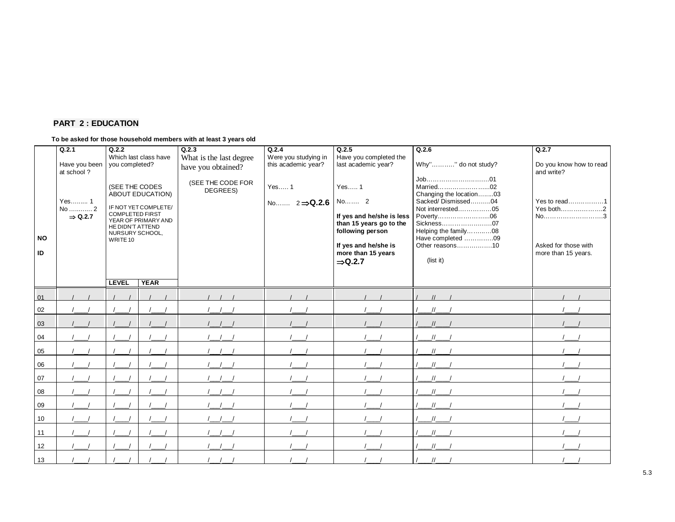## **PART 2 : EDUCATION**

### **To be asked for those household members with at least 3 years old**

| <b>NO</b><br>ID | Q.2.1<br>Have you been<br>at school?<br>Yes 1<br>No  2<br>$\Rightarrow$ Q.2.7 | Q.2.2<br>Which last class have<br>you completed?<br>(SEE THE CODES<br>ABOUT EDUCATION)<br>IF NOT YET COMPLETE/<br><b>COMPLETED FIRST</b><br>YEAR OF PRIMARY AND<br>HE DIDN'T ATTEND<br>NURSURY SCHOOL,<br>WRITE 10<br><b>YEAR</b><br><b>LEVEL</b> |  | Q.2.3<br>What is the last degree<br>have you obtained?<br>(SEE THE CODE FOR<br>DEGREES) | Q.2.4<br>Were you studying in<br>this academic year?<br>Yes 1<br>No $2 \Rightarrow Q.2.6$ | Q.2.5<br>Have you completed the<br>last academic year?<br>Yes 1<br>No 2<br>If yes and he/she is less<br>than 15 years go to the<br>following person<br>If yes and he/she is<br>more than 15 years<br>$\Rightarrow$ Q.2.7 | Q.2.6<br>Why"" do not study?<br>Job01<br>Married02<br>Changing the location03<br>Sacked/Dismissed04<br>Not interrested05<br>Sickness07<br>Helping the family08<br>Have completed 09<br>Other reasons10<br>(list it) | Q.2.7<br>Do you know how to read<br>and write?<br>Yes to read1<br>Yes both2<br>No3<br>Asked for those with<br>more than 15 years. |
|-----------------|-------------------------------------------------------------------------------|---------------------------------------------------------------------------------------------------------------------------------------------------------------------------------------------------------------------------------------------------|--|-----------------------------------------------------------------------------------------|-------------------------------------------------------------------------------------------|--------------------------------------------------------------------------------------------------------------------------------------------------------------------------------------------------------------------------|---------------------------------------------------------------------------------------------------------------------------------------------------------------------------------------------------------------------|-----------------------------------------------------------------------------------------------------------------------------------|
|                 |                                                                               |                                                                                                                                                                                                                                                   |  |                                                                                         |                                                                                           |                                                                                                                                                                                                                          |                                                                                                                                                                                                                     |                                                                                                                                   |
| 01              |                                                                               |                                                                                                                                                                                                                                                   |  |                                                                                         |                                                                                           |                                                                                                                                                                                                                          |                                                                                                                                                                                                                     |                                                                                                                                   |
| 02              |                                                                               |                                                                                                                                                                                                                                                   |  |                                                                                         |                                                                                           |                                                                                                                                                                                                                          |                                                                                                                                                                                                                     |                                                                                                                                   |
| 03              |                                                                               |                                                                                                                                                                                                                                                   |  |                                                                                         |                                                                                           |                                                                                                                                                                                                                          |                                                                                                                                                                                                                     |                                                                                                                                   |
| 04              |                                                                               |                                                                                                                                                                                                                                                   |  |                                                                                         |                                                                                           |                                                                                                                                                                                                                          |                                                                                                                                                                                                                     |                                                                                                                                   |
| 05              |                                                                               |                                                                                                                                                                                                                                                   |  |                                                                                         |                                                                                           |                                                                                                                                                                                                                          |                                                                                                                                                                                                                     |                                                                                                                                   |
| 06              |                                                                               |                                                                                                                                                                                                                                                   |  |                                                                                         |                                                                                           |                                                                                                                                                                                                                          |                                                                                                                                                                                                                     |                                                                                                                                   |
| 07              |                                                                               |                                                                                                                                                                                                                                                   |  |                                                                                         |                                                                                           |                                                                                                                                                                                                                          |                                                                                                                                                                                                                     |                                                                                                                                   |
| 08              |                                                                               |                                                                                                                                                                                                                                                   |  |                                                                                         |                                                                                           |                                                                                                                                                                                                                          |                                                                                                                                                                                                                     |                                                                                                                                   |
| 09              |                                                                               |                                                                                                                                                                                                                                                   |  |                                                                                         |                                                                                           |                                                                                                                                                                                                                          |                                                                                                                                                                                                                     |                                                                                                                                   |
| 10              |                                                                               |                                                                                                                                                                                                                                                   |  |                                                                                         |                                                                                           |                                                                                                                                                                                                                          |                                                                                                                                                                                                                     |                                                                                                                                   |
| 11              |                                                                               |                                                                                                                                                                                                                                                   |  |                                                                                         |                                                                                           |                                                                                                                                                                                                                          |                                                                                                                                                                                                                     |                                                                                                                                   |
| 12              |                                                                               |                                                                                                                                                                                                                                                   |  |                                                                                         |                                                                                           |                                                                                                                                                                                                                          |                                                                                                                                                                                                                     |                                                                                                                                   |
| 13              |                                                                               |                                                                                                                                                                                                                                                   |  |                                                                                         |                                                                                           |                                                                                                                                                                                                                          | $\frac{1}{2}$                                                                                                                                                                                                       |                                                                                                                                   |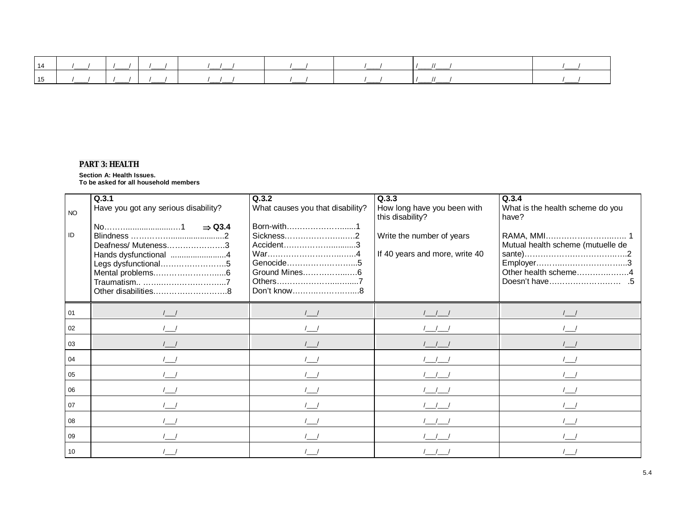| 14 |  |            |  |  |
|----|--|------------|--|--|
| 15 |  | $\sqrt{1}$ |  |  |

### *PART 3: HEALTH*

#### **Section A: Health Issues.**

**To be asked for all household members** 

| NO <sub>1</sub><br>ID | Q.3.1<br>Have you got any serious disability?<br>$\Rightarrow$ Q3.4<br>Deafness/Muteness3<br>Hands dysfunctional 4<br>Legs dysfunctional5 | Q.3.2<br>What causes you that disability?<br>Born-with1<br>Sickness2<br>Accident3<br>War4<br>Genocide5<br>Don't know8 | Q.3.3<br>How long have you been with<br>this disability?<br>Write the number of years<br>If 40 years and more, write 40 | Q.3.4<br>What is the health scheme do you<br>have?<br>Mutual health scheme (mutuelle de<br>Other health scheme4 |
|-----------------------|-------------------------------------------------------------------------------------------------------------------------------------------|-----------------------------------------------------------------------------------------------------------------------|-------------------------------------------------------------------------------------------------------------------------|-----------------------------------------------------------------------------------------------------------------|
| 01                    |                                                                                                                                           |                                                                                                                       |                                                                                                                         |                                                                                                                 |
| 02                    |                                                                                                                                           |                                                                                                                       |                                                                                                                         |                                                                                                                 |
| 03                    |                                                                                                                                           |                                                                                                                       |                                                                                                                         |                                                                                                                 |
| 04                    |                                                                                                                                           |                                                                                                                       |                                                                                                                         |                                                                                                                 |
| 05                    |                                                                                                                                           |                                                                                                                       |                                                                                                                         |                                                                                                                 |
| 06                    |                                                                                                                                           |                                                                                                                       |                                                                                                                         |                                                                                                                 |
| 07                    |                                                                                                                                           |                                                                                                                       |                                                                                                                         |                                                                                                                 |
| 08                    |                                                                                                                                           |                                                                                                                       |                                                                                                                         |                                                                                                                 |
| 09                    |                                                                                                                                           |                                                                                                                       |                                                                                                                         |                                                                                                                 |
| 10                    |                                                                                                                                           |                                                                                                                       |                                                                                                                         |                                                                                                                 |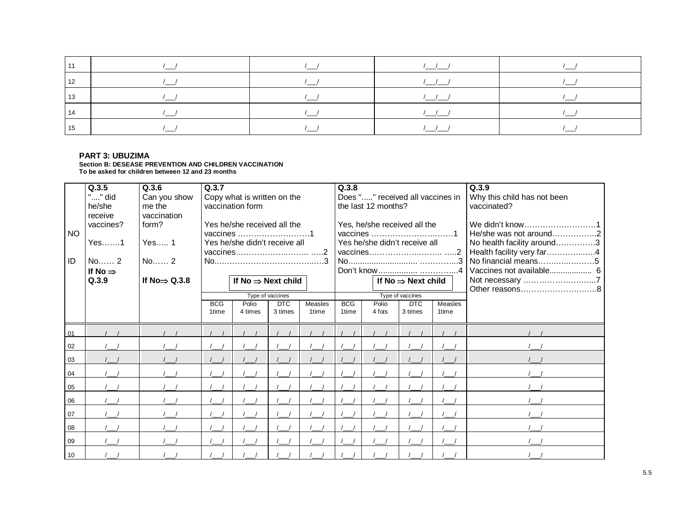### **PART 3: UBUZIMA**

**Section B: DESEASE PREVENTION AND CHILDREN VACCINATION To be asked for children between 12 and 23 months**

| <b>NO</b><br>ID | Q.3.5<br>"" did<br>he/she<br>receive<br>vaccines?<br>Yes1<br>No 2<br>If No $\Rightarrow$<br>Q.3.9 | Q.3.6<br>Can you show<br>me the<br>vaccination<br>form?<br>Yes 1<br>No 2<br>If No $\Rightarrow$ Q.3.8 | Q.3.7<br>Copy what is written on the<br>vaccination form<br>Yes he/she received all the<br>Yes he/she didn't receive all<br>If $No \Rightarrow Next$ child<br>Type of vaccines<br><b>BCG</b><br>DTC<br>Polio<br>Measles<br>3 times<br>1time<br>4 times<br>1time |  |  |  | Q.3.8<br><b>BCG</b><br>1time | Does "" received all vaccines in<br>the last 12 months?<br>Yes, he/she received all the<br>Yes he/she didn't receive all<br>Polio<br>4 fois | If No $\Rightarrow$ Next child<br>Type of vaccines<br><b>DTC</b><br>3 times | Measles<br>1time | Q.3.9<br>Why this child has not been<br>vaccinated?<br>We didn't know1<br>He/she was not around2<br>No health facility around3<br>Health facility very far4<br>No financial means5<br>Not necessary 7 |
|-----------------|---------------------------------------------------------------------------------------------------|-------------------------------------------------------------------------------------------------------|-----------------------------------------------------------------------------------------------------------------------------------------------------------------------------------------------------------------------------------------------------------------|--|--|--|------------------------------|---------------------------------------------------------------------------------------------------------------------------------------------|-----------------------------------------------------------------------------|------------------|-------------------------------------------------------------------------------------------------------------------------------------------------------------------------------------------------------|
|                 |                                                                                                   |                                                                                                       |                                                                                                                                                                                                                                                                 |  |  |  |                              |                                                                                                                                             |                                                                             |                  |                                                                                                                                                                                                       |
| 01<br>02        |                                                                                                   |                                                                                                       |                                                                                                                                                                                                                                                                 |  |  |  |                              |                                                                                                                                             |                                                                             |                  |                                                                                                                                                                                                       |
| 03              |                                                                                                   |                                                                                                       |                                                                                                                                                                                                                                                                 |  |  |  |                              |                                                                                                                                             |                                                                             |                  |                                                                                                                                                                                                       |
| 04              |                                                                                                   |                                                                                                       |                                                                                                                                                                                                                                                                 |  |  |  |                              |                                                                                                                                             |                                                                             |                  |                                                                                                                                                                                                       |
| 05              |                                                                                                   |                                                                                                       |                                                                                                                                                                                                                                                                 |  |  |  |                              |                                                                                                                                             |                                                                             |                  |                                                                                                                                                                                                       |
| 06              |                                                                                                   |                                                                                                       |                                                                                                                                                                                                                                                                 |  |  |  |                              |                                                                                                                                             |                                                                             |                  |                                                                                                                                                                                                       |
| 07              |                                                                                                   |                                                                                                       |                                                                                                                                                                                                                                                                 |  |  |  |                              |                                                                                                                                             |                                                                             |                  |                                                                                                                                                                                                       |
| 08              |                                                                                                   |                                                                                                       |                                                                                                                                                                                                                                                                 |  |  |  |                              |                                                                                                                                             |                                                                             |                  |                                                                                                                                                                                                       |
| 09              |                                                                                                   |                                                                                                       |                                                                                                                                                                                                                                                                 |  |  |  |                              |                                                                                                                                             |                                                                             |                  |                                                                                                                                                                                                       |
| 10              |                                                                                                   |                                                                                                       |                                                                                                                                                                                                                                                                 |  |  |  |                              |                                                                                                                                             |                                                                             |                  |                                                                                                                                                                                                       |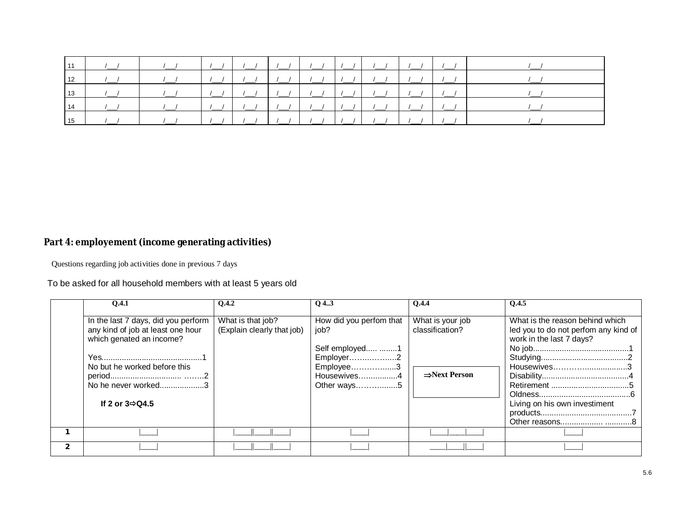|  |  |  |  |  | 15   /_/   /_/   /_/   /_/   /_/   /_/   /_/   /_/   /_/   /_/   /_/   /_/   /_/   /__/   /__/   / |
|--|--|--|--|--|----------------------------------------------------------------------------------------------------|

# **Part 4: employement (income generating activities)**

Questions regarding job activities done in previous 7 days

# To be asked for all household members with at least 5 years old

| 0.4.1                                                                                                                                                                                       | <b>O.4.2</b>                                    | $Q$ 43                                                                                                     | <b>O.4.4</b>                                                     | 0.4.5                                                                                                                                               |
|---------------------------------------------------------------------------------------------------------------------------------------------------------------------------------------------|-------------------------------------------------|------------------------------------------------------------------------------------------------------------|------------------------------------------------------------------|-----------------------------------------------------------------------------------------------------------------------------------------------------|
| In the last 7 days, did you perform<br>any kind of job at least one hour<br>which genated an income?<br>No but he worked before this<br>No he never worked3<br>If 2 or $3 \Rightarrow Q4.5$ | What is that job?<br>(Explain clearly that job) | How did you perfom that<br>job?<br>Self employed 1<br>Employer2<br>Employee3<br>Housewives4<br>Other ways5 | What is your job<br>classification?<br>$\Rightarrow$ Next Person | What is the reason behind which<br>led you to do not perfom any kind of<br>work in the last 7 days?<br>Housewives3<br>Living on his own investiment |
|                                                                                                                                                                                             |                                                 |                                                                                                            |                                                                  |                                                                                                                                                     |
|                                                                                                                                                                                             |                                                 |                                                                                                            |                                                                  |                                                                                                                                                     |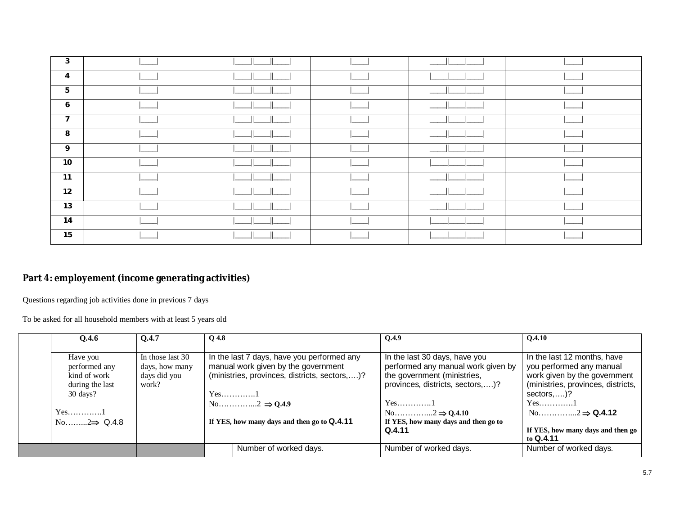| 3               |  |  |  |
|-----------------|--|--|--|
| 4               |  |  |  |
| $5\phantom{.0}$ |  |  |  |
| 6               |  |  |  |
| $\overline{7}$  |  |  |  |
| 8               |  |  |  |
| 9               |  |  |  |
| 10              |  |  |  |
| 11              |  |  |  |
| 12              |  |  |  |
| 13              |  |  |  |
| 14              |  |  |  |
| 15              |  |  |  |

# **Part 4: employement (income generating activities)**

Questions regarding job activities done in previous 7 days

To be asked for all household members with at least 5 years old

| <b>O.4.6</b>             | 0.4.7            | $Q$ 4.8 |                                               | Q.4.9                                | <b>O.4.10</b>                      |
|--------------------------|------------------|---------|-----------------------------------------------|--------------------------------------|------------------------------------|
|                          |                  |         |                                               |                                      |                                    |
| Have you                 | In those last 30 |         | In the last 7 days, have you performed any    | In the last 30 days, have you        | In the last 12 months, have        |
| performed any            | days, how many   |         | manual work given by the government           | performed any manual work given by   | you performed any manual           |
| kind of work             | days did you     |         | (ministries, provinces, districts, sectors,)? | the government (ministries,          | work given by the government       |
| during the last          | work?            |         |                                               | provinces, districts, sectors,)?     | (ministries, provinces, districts, |
| $30 \text{ days}$ ?      |                  |         | $Yes$ 1                                       |                                      | sectors, $)?$                      |
|                          |                  |         |                                               | $Yes$ 1                              | $Yes.$ 1                           |
| $Yes.$ 1                 |                  |         |                                               |                                      |                                    |
| No $2 \Rightarrow$ Q.4.8 |                  |         | If YES, how many days and then go to Q.4.11   | If YES, how many days and then go to |                                    |
|                          |                  |         |                                               | Q.4.11                               | If YES, how many days and then go  |
|                          |                  |         |                                               |                                      | to $Q.4.11$                        |
|                          |                  |         | Number of worked days.                        | Number of worked days.               | Number of worked days.             |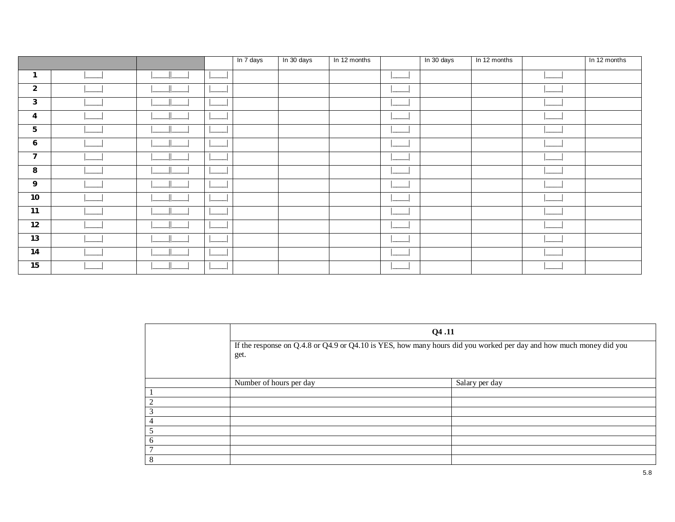|                  |  | In 7 days | In 30 days | In 12 months | In 30 days | In 12 months | In 12 months |
|------------------|--|-----------|------------|--------------|------------|--------------|--------------|
| $\mathbf{1}$     |  |           |            |              |            |              |              |
| $\overline{2}$   |  |           |            |              |            |              |              |
| $\mathbf{3}$     |  |           |            |              |            |              |              |
| 4                |  |           |            |              |            |              |              |
| 5                |  |           |            |              |            |              |              |
| 6                |  |           |            |              |            |              |              |
| $\overline{7}$   |  |           |            |              |            |              |              |
| 8                |  |           |            |              |            |              |              |
| $\boldsymbol{9}$ |  |           |            |              |            |              |              |
| $10$             |  |           |            |              |            |              |              |
| 11               |  |           |            |              |            |              |              |
| 12               |  |           |            |              |            |              |              |
| 13               |  |           |            |              |            |              |              |
| 14               |  |           |            |              |            |              |              |
| 15               |  |           |            |              |            |              |              |

|                 | Q4.11                                                                                                              |                |  |  |  |  |  |  |  |
|-----------------|--------------------------------------------------------------------------------------------------------------------|----------------|--|--|--|--|--|--|--|
|                 | If the response on Q.4.8 or Q4.9 or Q4.10 is YES, how many hours did you worked per day and how much money did you |                |  |  |  |  |  |  |  |
|                 | get.                                                                                                               |                |  |  |  |  |  |  |  |
|                 |                                                                                                                    |                |  |  |  |  |  |  |  |
|                 | Number of hours per day                                                                                            | Salary per day |  |  |  |  |  |  |  |
|                 |                                                                                                                    |                |  |  |  |  |  |  |  |
| 2               |                                                                                                                    |                |  |  |  |  |  |  |  |
| 3               |                                                                                                                    |                |  |  |  |  |  |  |  |
| $\overline{4}$  |                                                                                                                    |                |  |  |  |  |  |  |  |
| 5               |                                                                                                                    |                |  |  |  |  |  |  |  |
| 6               |                                                                                                                    |                |  |  |  |  |  |  |  |
| $7\phantom{.0}$ |                                                                                                                    |                |  |  |  |  |  |  |  |
| 8               |                                                                                                                    |                |  |  |  |  |  |  |  |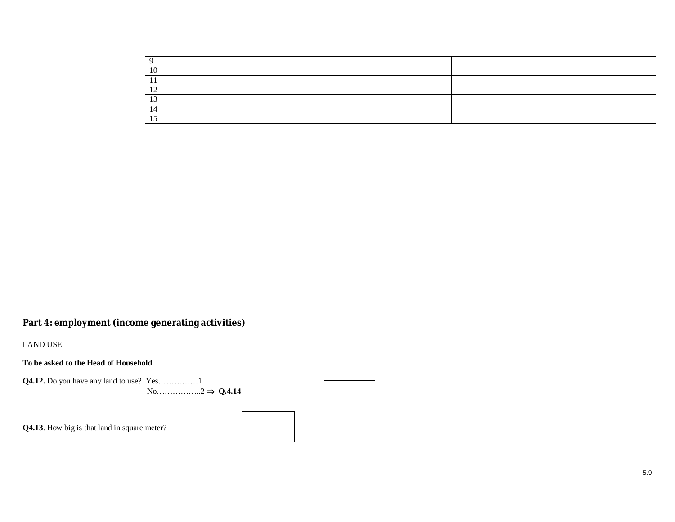| 10<br>1 V                |  |
|--------------------------|--|
| - 11                     |  |
| $\sim$<br>$\overline{1}$ |  |
| . .                      |  |
|                          |  |
| ໋                        |  |

# **Part 4: employment (income generating activities)**

LAND USE

**To be asked to the Head of Household**

**Q4.12.** Do you have any land to use? Yes……………1 No……………..2  $\Rightarrow$  Q.4.14

**Q4.13**. How big is that land in square meter?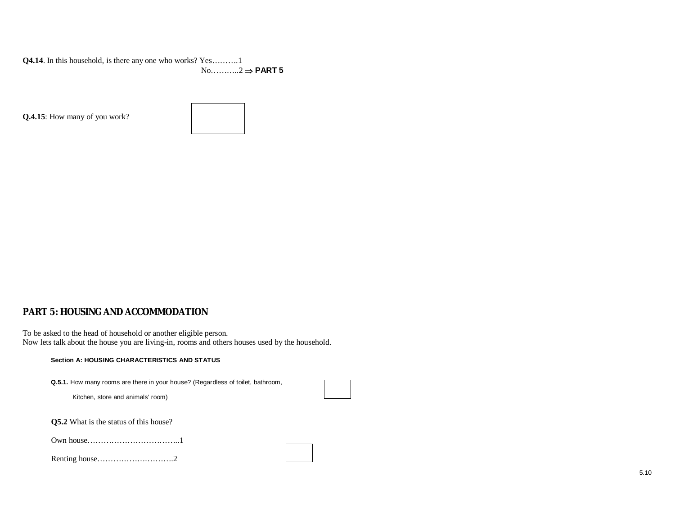**Q4.14**. In this household, is there any one who works? Yes……….1 No………..2 **PART 5**

**Q.4.15**: How many of you work?



## **PART 5: HOUSING AND ACCOMMODATION**

To be asked to the head of household or another eligible person. Now lets talk about the house you are living-in, rooms and others houses used by the household.

#### **Section A: HOUSING CHARACTERISTICS AND STATUS**

**Q.5.1.** How many rooms are there in your house? (Regardless of toilet, bathroom,

Kitchen, store and animals' room)

**Q5.2** What is the status of this house?

|--|--|

|--|--|--|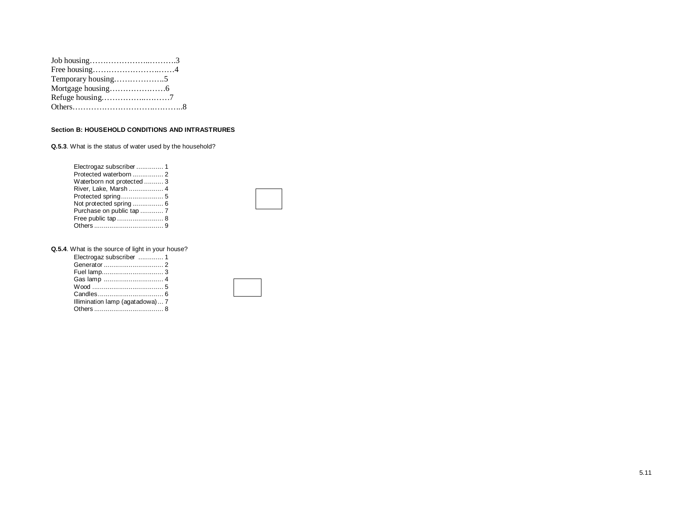| Refuge housing7 |  |
|-----------------|--|
|                 |  |

#### **Section B: HOUSEHOLD CONDITIONS AND INTRASTRURES**

**Q.5.3**. What is the status of water used by the household?

| Protected waterborn  2     |  |
|----------------------------|--|
| Waterborn not protected  3 |  |
| River, Lake, Marsh  4      |  |
| Protected spring 5         |  |
| Not protected spring  6    |  |
| Purchase on public tap  7  |  |
| Free public tap  8         |  |
|                            |  |



**Q.5.4**. What is the source of light in your house?

| Electrogaz subscriber  1        |  |
|---------------------------------|--|
|                                 |  |
|                                 |  |
|                                 |  |
|                                 |  |
|                                 |  |
| Illimination lamp (agatadowa) 7 |  |
|                                 |  |
|                                 |  |

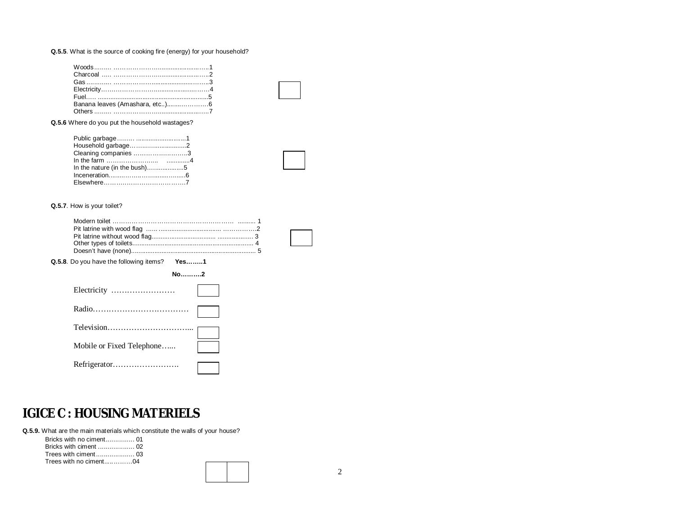#### **Q.5.5**. What is the source of cooking fire (energy) for your household?

**Q.5.6** Where do you put the household wastages?

| Household garbage2           |  |
|------------------------------|--|
| Cleaning companies 3         |  |
|                              |  |
| In the nature (in the bush)5 |  |
|                              |  |
|                              |  |

#### **Q.5.7**. How is your toilet?

| Q.5.8. Do you have the following items? Yes1 |  |
|----------------------------------------------|--|
| $No$ 2                                       |  |
| Electricity                                  |  |
|                                              |  |
|                                              |  |
| Mobile or Fixed Telephone                    |  |
| Refrigerator                                 |  |

# **IGICE C : HOUSING MATERIELS**

**Q.5.9.** What are the main materials which constitute the walls of your house?

| Trees with no ciment04 |  |
|------------------------|--|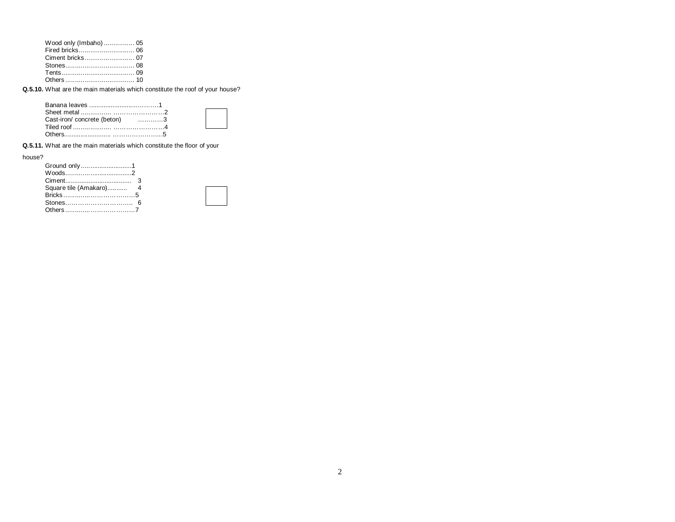| Wood only (Imbaho)  05 |  |
|------------------------|--|
|                        |  |
|                        |  |
|                        |  |
|                        |  |
|                        |  |

**Q.5.10.** What are the main materials which constitute the roof of your house?

| Cast-iron/ concrete (beton) 3 |  |
|-------------------------------|--|
|                               |  |
|                               |  |

**Q.5.11.** What are the main materials which constitute the floor of your

house?

| Ground only1 |  |
|--------------|--|
|              |  |
|              |  |
|              |  |
|              |  |
|              |  |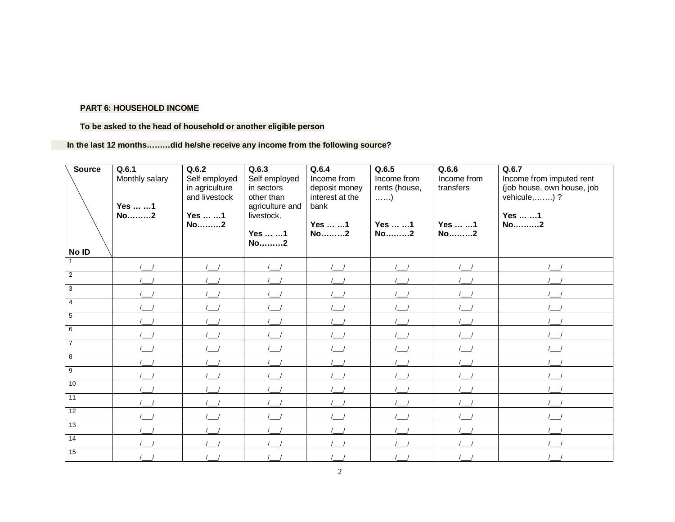### **To be asked to the head of household or another eligible person**

 **In the last 12 months………did he/she receive any income from the following source?**

| <b>Source</b><br>No ID | Q.6.1<br>Monthly salary<br>Yes  1<br>No2 | Q.6.2<br>Self employed<br>in agriculture<br>and livestock<br>Yes  1<br>No2 | Q.6.3<br>Self employed<br>in sectors<br>other than<br>agriculture and<br>livestock.<br>Yes  1<br>No2 | Q.6.4<br>Income from<br>deposit money<br>interest at the<br>bank<br>Yes  1<br>No2 | Q.6.5<br>Income from<br>rents (house,<br>$\ldots$ )<br>Yes  1<br>No2 | Q.6.6<br>Income from<br>transfers<br>Yes  1<br>No2 | Q.6.7<br>Income from imputed rent<br>(job house, own house, job<br>vehicule,) ?<br>Yes  1<br>No2 |
|------------------------|------------------------------------------|----------------------------------------------------------------------------|------------------------------------------------------------------------------------------------------|-----------------------------------------------------------------------------------|----------------------------------------------------------------------|----------------------------------------------------|--------------------------------------------------------------------------------------------------|
| $\blacktriangleleft$   |                                          |                                                                            |                                                                                                      |                                                                                   |                                                                      |                                                    |                                                                                                  |
| $\overline{2}$         |                                          |                                                                            |                                                                                                      |                                                                                   |                                                                      |                                                    |                                                                                                  |
| 3                      |                                          |                                                                            |                                                                                                      |                                                                                   |                                                                      |                                                    |                                                                                                  |
| $\overline{4}$         |                                          |                                                                            |                                                                                                      |                                                                                   |                                                                      |                                                    |                                                                                                  |
| 5                      |                                          |                                                                            |                                                                                                      |                                                                                   |                                                                      |                                                    |                                                                                                  |
| 6                      |                                          |                                                                            |                                                                                                      |                                                                                   |                                                                      |                                                    |                                                                                                  |
| $\overline{7}$         |                                          |                                                                            |                                                                                                      |                                                                                   |                                                                      |                                                    |                                                                                                  |
| 8                      |                                          |                                                                            |                                                                                                      |                                                                                   |                                                                      |                                                    |                                                                                                  |
| $\overline{9}$         |                                          |                                                                            |                                                                                                      |                                                                                   |                                                                      |                                                    |                                                                                                  |
| 10                     |                                          |                                                                            |                                                                                                      |                                                                                   |                                                                      |                                                    |                                                                                                  |
| 11                     |                                          |                                                                            |                                                                                                      |                                                                                   |                                                                      |                                                    |                                                                                                  |
| $\overline{12}$        |                                          |                                                                            |                                                                                                      |                                                                                   |                                                                      |                                                    |                                                                                                  |
| 13                     |                                          |                                                                            |                                                                                                      |                                                                                   |                                                                      |                                                    |                                                                                                  |
| $\overline{14}$        |                                          |                                                                            |                                                                                                      |                                                                                   |                                                                      |                                                    |                                                                                                  |
| 15                     |                                          |                                                                            |                                                                                                      |                                                                                   |                                                                      |                                                    |                                                                                                  |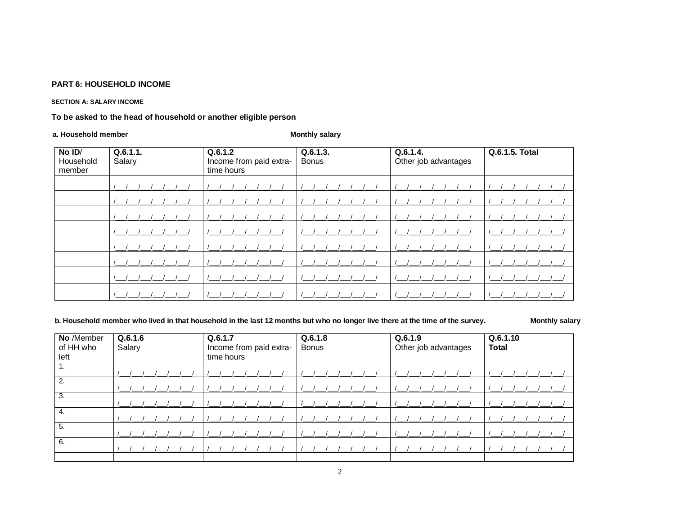#### **SECTION A: SALARY INCOME**

To be asked to the head of household or another eligible person

#### a. Household member

### **Monthly salary**

| No ID/<br>Household<br>member | Q.6.1.1.<br>Salary | Q.6.1.2<br>Income from paid extra-<br>time hours | Q.6.1.3.<br><b>Bonus</b> | Q.6.1.4.<br>Other job advantages | Q.6.1.5. Total |
|-------------------------------|--------------------|--------------------------------------------------|--------------------------|----------------------------------|----------------|
|                               |                    |                                                  |                          |                                  |                |
|                               |                    |                                                  |                          |                                  |                |
|                               |                    |                                                  |                          |                                  |                |
|                               |                    |                                                  |                          |                                  |                |
|                               |                    |                                                  |                          |                                  |                |
|                               |                    |                                                  |                          |                                  |                |
|                               |                    |                                                  |                          |                                  |                |
|                               |                    |                                                  |                          |                                  |                |

### b. Household member who lived in that household in the last 12 months but who no longer live there at the time of the survey.

**Monthly salary** 

| No /Member<br>of HH who<br>left | Q.6.1.6<br>Salary | Q.6.1.7<br>Income from paid extra-<br>time hours | Q.6.1.8<br><b>Bonus</b> | Q.6.1.9<br>Other job advantages | Q.6.1.10<br><b>Total</b> |
|---------------------------------|-------------------|--------------------------------------------------|-------------------------|---------------------------------|--------------------------|
| 1.                              |                   |                                                  |                         |                                 |                          |
| 2.                              |                   |                                                  |                         |                                 |                          |
| 3.                              |                   |                                                  |                         |                                 |                          |
| 4.                              |                   |                                                  |                         |                                 |                          |
| 5.                              |                   |                                                  |                         |                                 |                          |
| 6.                              |                   |                                                  |                         |                                 |                          |
|                                 |                   |                                                  |                         |                                 |                          |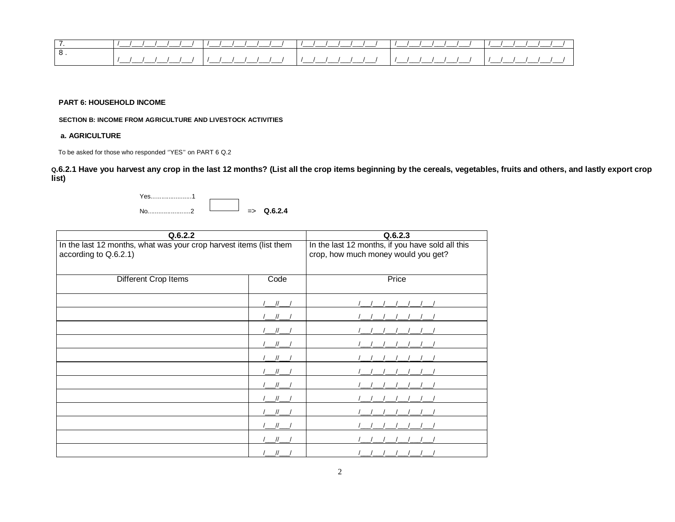|   | _______<br>$\cdots$ | ____   | ----  |         |  |
|---|---------------------|--------|-------|---------|--|
| റ |                     |        |       |         |  |
|   | ______<br>________  | ______ | _____ | _______ |  |

 **SECTION B: INCOME FROM AGRICULTURE AND LIVESTOCK ACTIVITIES**

#### **a. AGRICULTURE**

To be asked for those who responded ''YES'' on PART 6 Q.2

**Q.6.2.1 Have you harvest any crop in the last 12 months? (List all the crop items beginning by the cereals, vegetables, fruits and others, and lastly export crop list)**

Yes.......................1 No........................2 => **Q.6.2.4**

| Q.6.2.2                                                                                     | Q.6.2.3 |                                                                                         |
|---------------------------------------------------------------------------------------------|---------|-----------------------------------------------------------------------------------------|
| In the last 12 months, what was your crop harvest items (list them<br>according to Q.6.2.1) |         | In the last 12 months, if you have sold all this<br>crop, how much money would you get? |
| Different Crop Items                                                                        | Code    | Price                                                                                   |
|                                                                                             |         |                                                                                         |
|                                                                                             |         |                                                                                         |
|                                                                                             |         |                                                                                         |
|                                                                                             |         |                                                                                         |
|                                                                                             |         |                                                                                         |
|                                                                                             |         |                                                                                         |
|                                                                                             |         |                                                                                         |
|                                                                                             |         |                                                                                         |
|                                                                                             |         |                                                                                         |
|                                                                                             |         |                                                                                         |
|                                                                                             |         |                                                                                         |
|                                                                                             |         |                                                                                         |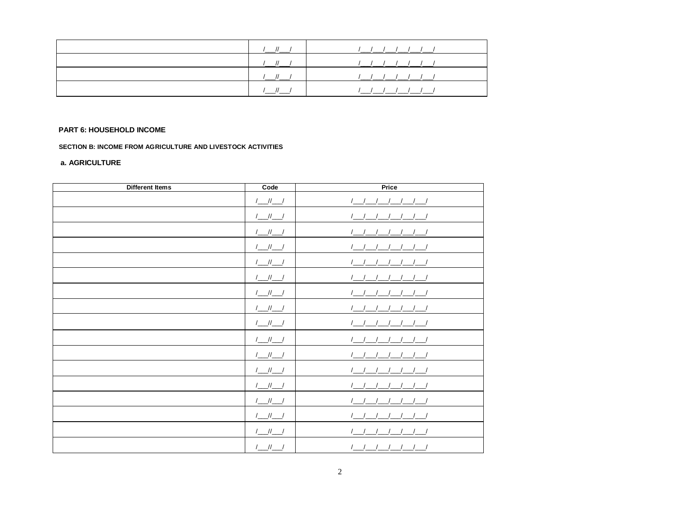|  | <u>               </u> |
|--|------------------------|
|  |                        |
|  | 1111111                |
|  | 1111111                |

SECTION B: INCOME FROM AGRICULTURE AND LIVESTOCK ACTIVITIES

### a. AGRICULTURE

| <b>Different Items</b> | Code                                                                                                                                                                                                                                                                                                                                                                                                  | Price                                                                                                                                                                                                                                                                                                                                                                                       |
|------------------------|-------------------------------------------------------------------------------------------------------------------------------------------------------------------------------------------------------------------------------------------------------------------------------------------------------------------------------------------------------------------------------------------------------|---------------------------------------------------------------------------------------------------------------------------------------------------------------------------------------------------------------------------------------------------------------------------------------------------------------------------------------------------------------------------------------------|
|                        | $/$ __//__/                                                                                                                                                                                                                                                                                                                                                                                           | $\begin{picture}(120,10) \put(0,0){\dashbox{0.5}(10,0){ }} \put(15,0){\circle{10}} \put(15,0){\circle{10}} \put(15,0){\circle{10}} \put(15,0){\circle{10}} \put(15,0){\circle{10}} \put(15,0){\circle{10}} \put(15,0){\circle{10}} \put(15,0){\circle{10}} \put(15,0){\circle{10}} \put(15,0){\circle{10}} \put(15,0){\circle{10}} \put(15,0){\circle{10}} \put(15,0){\circle{10}} \put(15$ |
|                        | $/$ __//__/                                                                                                                                                                                                                                                                                                                                                                                           |                                                                                                                                                                                                                                                                                                                                                                                             |
|                        | $/$ ___ // ___ /                                                                                                                                                                                                                                                                                                                                                                                      | $\frac{1}{2}$ $\frac{1}{2}$ $\frac{1}{2}$ $\frac{1}{2}$ $\frac{1}{2}$ $\frac{1}{2}$ $\frac{1}{2}$                                                                                                                                                                                                                                                                                           |
|                        | $/$ _//_ /                                                                                                                                                                                                                                                                                                                                                                                            | $\begin{picture}(120,10) \put(0,0){\dashbox{0.5}(10,0){ }} \put(15,0){\circle{10}} \put(15,0){\circle{10}} \put(15,0){\circle{10}} \put(15,0){\circle{10}} \put(15,0){\circle{10}} \put(15,0){\circle{10}} \put(15,0){\circle{10}} \put(15,0){\circle{10}} \put(15,0){\circle{10}} \put(15,0){\circle{10}} \put(15,0){\circle{10}} \put(15,0){\circle{10}} \put(15,0){\circle{10}} \put(15$ |
|                        | $\begin{picture}(20,20) \put(0,0){\dashbox{0.5}(5,0){ }} \put(15,0){\dashbox{0.5}(5,0){ }} \put(15,0){\dashbox{0.5}(5,0){ }} \put(15,0){\dashbox{0.5}(5,0){ }} \put(15,0){\dashbox{0.5}(5,0){ }} \put(15,0){\dashbox{0.5}(5,0){ }} \put(15,0){\dashbox{0.5}(5,0){ }} \put(15,0){\dashbox{0.5}(5,0){ }} \put(15,0){\dashbox{0.5}(5,0){ }} \put(15,0){\dashbox{0.5}(5,0){ }}$                           |                                                                                                                                                                                                                                                                                                                                                                                             |
|                        | $1 - 11 - 1$                                                                                                                                                                                                                                                                                                                                                                                          |                                                                                                                                                                                                                                                                                                                                                                                             |
|                        | $\begin{picture}(20,20) \put(0,0){\dashbox{0.5}(5,0){ }} \put(15,0){\dashbox{0.5}(5,0){ }} \put(15,0){\dashbox{0.5}(5,0){ }} \put(15,0){\dashbox{0.5}(5,0){ }} \put(15,0){\dashbox{0.5}(5,0){ }} \put(15,0){\dashbox{0.5}(5,0){ }} \put(15,0){\dashbox{0.5}(5,0){ }} \put(15,0){\dashbox{0.5}(5,0){ }} \put(15,0){\dashbox{0.5}(5,0){ }} \put(15,0){\dashbox{0.5}(5,0){ }}$                           |                                                                                                                                                                                                                                                                                                                                                                                             |
|                        | $\begin{picture}(20,20) \put(0,0){\dashbox{0.5}(5,0){ }} \put(15,0){\circle{1}} \put(15,0){\circle{1}} \put(15,0){\circle{1}} \put(15,0){\circle{1}} \put(15,0){\circle{1}} \put(15,0){\circle{1}} \put(15,0){\circle{1}} \put(15,0){\circle{1}} \put(15,0){\circle{1}} \put(15,0){\circle{1}} \put(15,0){\circle{1}} \put(15,0){\circle{1}} \put(15,0){\circle{1}} \put(15,0){\circle{1}} \put(15,0$ | $\begin{picture}(120,10) \put(0,0){\line(1,0){10}} \put(15,0){\line(1,0){10}} \put(15,0){\line(1,0){10}} \put(15,0){\line(1,0){10}} \put(15,0){\line(1,0){10}} \put(15,0){\line(1,0){10}} \put(15,0){\line(1,0){10}} \put(15,0){\line(1,0){10}} \put(15,0){\line(1,0){10}} \put(15,0){\line(1,0){10}} \put(15,0){\line(1,0){10}} \put(15,0){\line($                                         |
|                        | $I \_\_II \_\_I$                                                                                                                                                                                                                                                                                                                                                                                      | $\begin{picture}(120,10) \put(0,0){\line(1,0){10}} \put(15,0){\line(1,0){10}} \put(15,0){\line(1,0){10}} \put(15,0){\line(1,0){10}} \put(15,0){\line(1,0){10}} \put(15,0){\line(1,0){10}} \put(15,0){\line(1,0){10}} \put(15,0){\line(1,0){10}} \put(15,0){\line(1,0){10}} \put(15,0){\line(1,0){10}} \put(15,0){\line(1,0){10}} \put(15,0){\line($                                         |
|                        |                                                                                                                                                                                                                                                                                                                                                                                                       | $\begin{picture}(120,10) \put(0,0){\line(1,0){10}} \put(15,0){\line(1,0){10}} \put(15,0){\line(1,0){10}} \put(15,0){\line(1,0){10}} \put(15,0){\line(1,0){10}} \put(15,0){\line(1,0){10}} \put(15,0){\line(1,0){10}} \put(15,0){\line(1,0){10}} \put(15,0){\line(1,0){10}} \put(15,0){\line(1,0){10}} \put(15,0){\line(1,0){10}} \put(15,0){\line($                                         |
|                        | $\begin{picture}(20,20) \put(0,0){\dashbox{0.5}(5,0){ }} \put(15,0){\dashbox{0.5}(5,0){ }} \put(15,0){\dashbox{0.5}(5,0){ }} \put(15,0){\dashbox{0.5}(5,0){ }} \put(15,0){\dashbox{0.5}(5,0){ }} \put(15,0){\dashbox{0.5}(5,0){ }} \put(15,0){\dashbox{0.5}(5,0){ }} \put(15,0){\dashbox{0.5}(5,0){ }} \put(15,0){\dashbox{0.5}(5,0){ }} \put(15,0){\dashbox{0.5}(5,0){ }}$                           | $\frac{1}{2}$ $\frac{1}{2}$ $\frac{1}{2}$ $\frac{1}{2}$ $\frac{1}{2}$ $\frac{1}{2}$ $\frac{1}{2}$                                                                                                                                                                                                                                                                                           |
|                        |                                                                                                                                                                                                                                                                                                                                                                                                       | $\left(\begin{array}{c c} \begin{array}{c} \begin{array}{c} \end{array} & \end{array}\right) & \begin{array}{c} \end{array} & \begin{array}{c} \end{array} & \end{array} \end{array}\right)$                                                                                                                                                                                                |
|                        |                                                                                                                                                                                                                                                                                                                                                                                                       |                                                                                                                                                                                                                                                                                                                                                                                             |
|                        | $1 - 11 - 1$                                                                                                                                                                                                                                                                                                                                                                                          |                                                                                                                                                                                                                                                                                                                                                                                             |
|                        | $1 - 11 - 1$                                                                                                                                                                                                                                                                                                                                                                                          |                                                                                                                                                                                                                                                                                                                                                                                             |
|                        | $/$ ___ // ___ /                                                                                                                                                                                                                                                                                                                                                                                      | $\frac{1}{2}$ $\frac{1}{2}$ $\frac{1}{2}$ $\frac{1}{2}$ $\frac{1}{2}$ $\frac{1}{2}$                                                                                                                                                                                                                                                                                                         |
|                        | $1$ $1$                                                                                                                                                                                                                                                                                                                                                                                               | $1 - 1 - 1 - 1 - 1 - 1$                                                                                                                                                                                                                                                                                                                                                                     |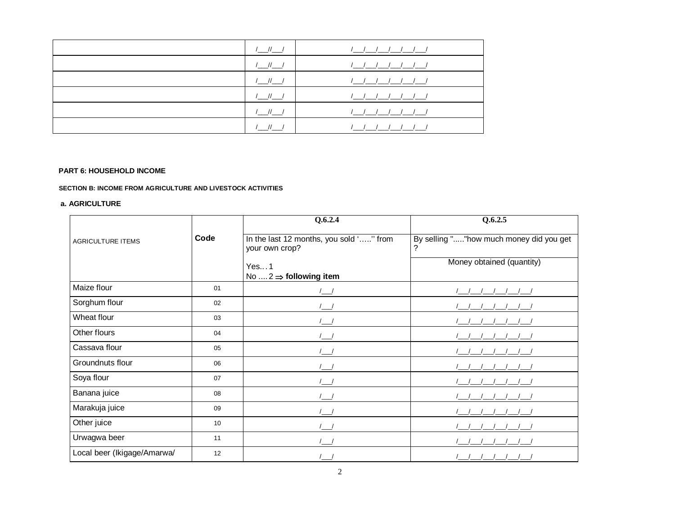| $1$ $1$ $1$  | <u>/ / / / / / /</u>   |
|--------------|------------------------|
| $1$ $1$ $1$  | <u>/ / / / / / / /</u> |
| $1$ $1$      |                        |
| $1$ $11$ $1$ | <u>/ / / / / / / /</u> |
| $1$ $1$      |                        |
|              | ////////               |

#### **SECTION B: INCOME FROM AGRICULTURE AND LIVESTOCK ACTIVITIES**

#### **a. AGRICULTURE**

|                             |      | Q.6.2.4                                                   | Q.6.2.5                                      |  |
|-----------------------------|------|-----------------------------------------------------------|----------------------------------------------|--|
| <b>AGRICULTURE ITEMS</b>    | Code | In the last 12 months, you sold '" from<br>your own crop? | By selling ""how much money did you get<br>? |  |
|                             |      | Yes1                                                      | Money obtained (quantity)                    |  |
|                             |      | No $\dots 2 \Rightarrow$ following item                   |                                              |  |
| Maize flour                 | 01   |                                                           |                                              |  |
| Sorghum flour               | 02   |                                                           |                                              |  |
| Wheat flour                 | 03   | $\sqrt{ }$                                                |                                              |  |
| Other flours                | 04   |                                                           |                                              |  |
| Cassava flour               | 05   | $\sqrt{ }$                                                |                                              |  |
| Groundnuts flour            | 06   | $\perp$                                                   |                                              |  |
| Soya flour                  | 07   | $\sqrt{ }$                                                |                                              |  |
| Banana juice                | 08   |                                                           |                                              |  |
| Marakuja juice              | 09   |                                                           |                                              |  |
| Other juice                 | 10   |                                                           |                                              |  |
| Urwagwa beer                | 11   |                                                           |                                              |  |
| Local beer (Ikigage/Amarwa/ | 12   |                                                           |                                              |  |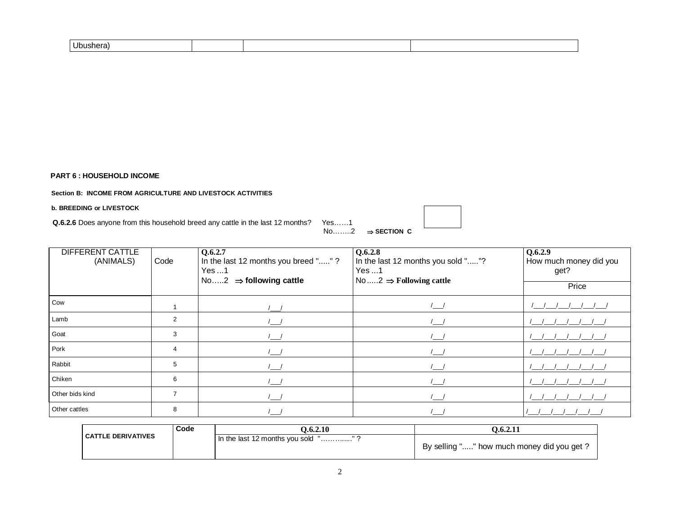**Section B: INCOME FROM AGRICULTURE AND LIVESTOCK ACTIVITIES**

#### **b. BREEDING or LIVESTOCK**

**Q.6.2.6** Does anyone from this household breed any cattle in the last 12 months? Yes......1

No……..2 **SECTION C**

| <b>DIFFERENT CATTLE</b><br>(ANIMALS) | Code           | Q.6.2.7<br>In the last 12 months you breed ""?<br>Yes 1<br>No2 $\Rightarrow$ following cattle | Q.6.2.8<br>In the last 12 months you sold ""?<br>Yes1<br>No $2 \implies$ Following cattle | Q.6.2.9<br>How much money did you<br>get? |
|--------------------------------------|----------------|-----------------------------------------------------------------------------------------------|-------------------------------------------------------------------------------------------|-------------------------------------------|
|                                      |                |                                                                                               |                                                                                           | Price                                     |
| Cow                                  |                |                                                                                               |                                                                                           |                                           |
| Lamb                                 | 2              | $\sqrt{2}$                                                                                    |                                                                                           |                                           |
| Goat                                 | 3              |                                                                                               |                                                                                           |                                           |
| Pork                                 | $\overline{4}$ |                                                                                               |                                                                                           |                                           |
| Rabbit                               | 5              |                                                                                               |                                                                                           |                                           |
| Chiken                               | 6              |                                                                                               |                                                                                           |                                           |
| Other bids kind                      | $\overline{7}$ |                                                                                               |                                                                                           |                                           |
| Other cattles                        | 8              |                                                                                               |                                                                                           |                                           |

|                           | Code | 0.6.2.10                              | 0.6.2.11                                   |
|---------------------------|------|---------------------------------------|--------------------------------------------|
| <b>CATTLE DERIVATIVES</b> |      | I In the last 12 months you sold<br>. | By selling "" how much money did you get ? |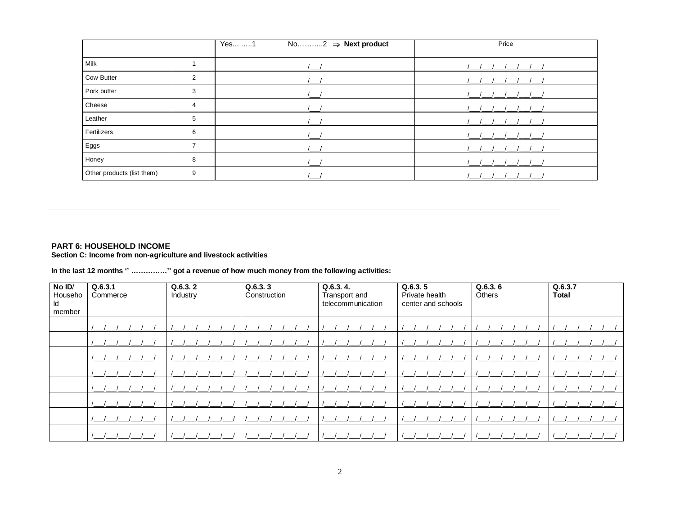|                            |   | Yes 1<br>No2 $\Rightarrow$ Next product | Price |
|----------------------------|---|-----------------------------------------|-------|
|                            |   |                                         |       |
| Milk                       |   |                                         |       |
| Cow Butter                 | 2 |                                         |       |
| Pork butter                | 3 |                                         |       |
| Cheese                     | 4 |                                         |       |
| Leather                    | 5 |                                         |       |
| Fertilizers                | 6 |                                         |       |
| Eggs                       | 7 |                                         |       |
| Honey                      | 8 |                                         |       |
| Other products (list them) | 9 |                                         |       |

PART 6: HOUSEHOLD INCOME<br>Section C: Income from non-agriculture and livestock activities

In the last 12 months " ..............." got a revenue of how much money from the following activities:

| No ID/<br>Househo<br>ld<br>member | Q.6.3.1<br>Commerce | Q.6.3.2<br>Industry | Q.6.3.3<br>Construction | Q.6.3.4.<br>Transport and<br>telecommunication | Q.6.3.5<br>Private health<br>center and schools | Q.6.3.6<br>Others | Q.6.3.7<br><b>Total</b> |
|-----------------------------------|---------------------|---------------------|-------------------------|------------------------------------------------|-------------------------------------------------|-------------------|-------------------------|
|                                   |                     |                     |                         |                                                |                                                 |                   |                         |
|                                   |                     |                     |                         |                                                |                                                 |                   |                         |
|                                   |                     |                     |                         |                                                |                                                 |                   |                         |
|                                   |                     |                     |                         |                                                |                                                 |                   |                         |
|                                   |                     |                     |                         |                                                |                                                 |                   |                         |
|                                   |                     |                     |                         |                                                |                                                 |                   |                         |
|                                   |                     |                     |                         |                                                |                                                 |                   |                         |
|                                   |                     |                     |                         |                                                |                                                 |                   |                         |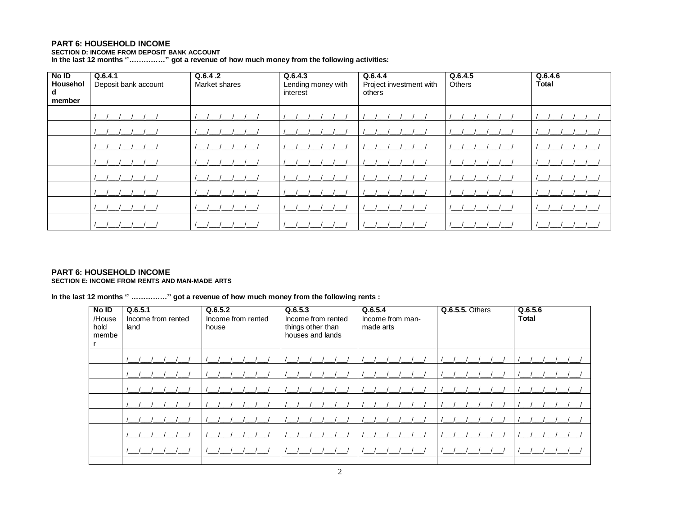SECTION D: INCOME FROM DEPOSIT BANK ACCOUNT<br>In the last 12 months "..............." got a revenue of how much money from the following activities:

| No ID<br>Househol<br>d<br>member | Q.6.4.1<br>Deposit bank account | Q.6.4.2<br>Market shares | Q.6.4.3<br>Lending money with<br>interest | Q.6.4.4<br>Project investment with<br>others | Q.6.4.5<br>Others | Q.6.4.6<br><b>Total</b> |
|----------------------------------|---------------------------------|--------------------------|-------------------------------------------|----------------------------------------------|-------------------|-------------------------|
|                                  |                                 |                          |                                           |                                              |                   |                         |
|                                  |                                 |                          |                                           |                                              |                   |                         |
|                                  |                                 |                          |                                           |                                              |                   |                         |
|                                  |                                 |                          |                                           |                                              |                   |                         |
|                                  |                                 |                          |                                           |                                              |                   |                         |
|                                  |                                 |                          |                                           |                                              |                   |                         |
|                                  |                                 |                          |                                           |                                              |                   |                         |
|                                  |                                 |                          |                                           |                                              |                   |                         |

#### PART 6: HOUSEHOLD INCOME SECTION E: INCOME FROM RENTS AND MAN-MADE ARTS

In the last 12 months " ..............." got a revenue of how much money from the following rents :

| No ID<br>/House<br>hold<br>membe | Q.6.5.1<br>Income from rented<br>land | Q.6.5.2<br>Income from rented<br>house | Q.6.5.3<br>Income from rented<br>things other than<br>houses and lands | Q.6.5.4<br>Income from man-<br>made arts | <b>Q.6.5.5. Others</b> | Q.6.5.6<br><b>Total</b> |
|----------------------------------|---------------------------------------|----------------------------------------|------------------------------------------------------------------------|------------------------------------------|------------------------|-------------------------|
|                                  |                                       |                                        |                                                                        |                                          |                        |                         |
|                                  |                                       |                                        |                                                                        |                                          |                        |                         |
|                                  |                                       |                                        |                                                                        |                                          |                        |                         |
|                                  |                                       |                                        |                                                                        |                                          |                        |                         |
|                                  |                                       |                                        |                                                                        |                                          |                        |                         |
|                                  |                                       |                                        |                                                                        |                                          |                        |                         |
|                                  |                                       |                                        |                                                                        |                                          |                        |                         |
|                                  |                                       |                                        |                                                                        |                                          |                        |                         |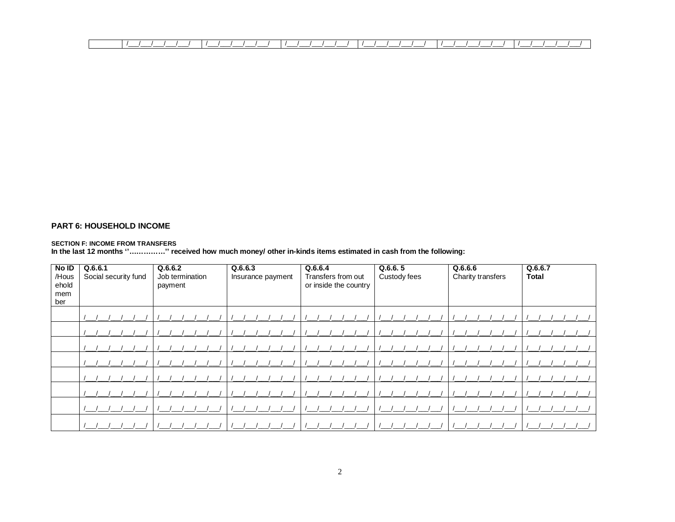|  | ___ |  | ____________ | _________ |  |
|--|-----|--|--------------|-----------|--|
|  |     |  |              |           |  |

SECTION F: INCOME FROM TRANSFERS<br>In the last 12 months "..............." received how much money/ other in-kinds items estimated in cash from the following:

| No ID<br>/Hous<br>ehold<br>mem<br>ber | Q.6.6.1<br>Social security fund | Q.6.6.2<br>Job termination<br>payment | Q.6.6.3<br>Insurance payment | Q.6.6.4<br>Transfers from out<br>or inside the country | Q.6.6.5<br>Custody fees | Q.6.6.6<br>Charity transfers | Q.6.6.7<br>Total |
|---------------------------------------|---------------------------------|---------------------------------------|------------------------------|--------------------------------------------------------|-------------------------|------------------------------|------------------|
|                                       |                                 |                                       |                              |                                                        |                         |                              |                  |
|                                       |                                 |                                       |                              |                                                        |                         |                              |                  |
|                                       |                                 |                                       |                              |                                                        |                         |                              |                  |
|                                       |                                 |                                       |                              |                                                        |                         |                              |                  |
|                                       |                                 |                                       |                              |                                                        |                         |                              |                  |
|                                       |                                 |                                       |                              |                                                        |                         |                              |                  |
|                                       |                                 |                                       |                              |                                                        |                         |                              |                  |
|                                       |                                 |                                       |                              |                                                        |                         |                              |                  |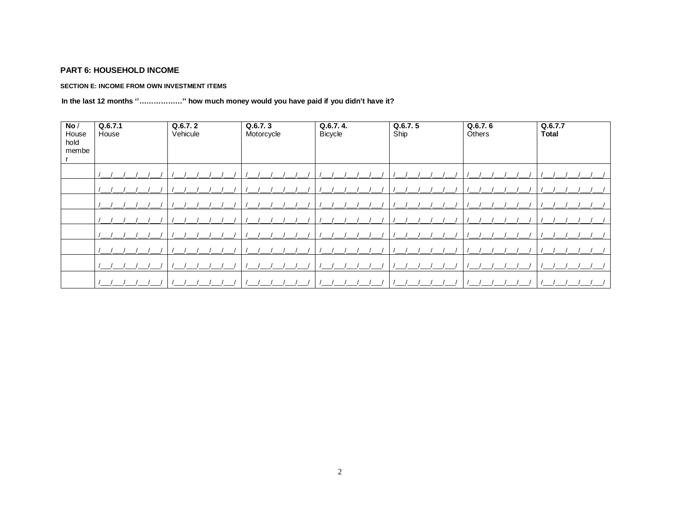### SECTION E: INCOME FROM OWN INVESTMENT ITEMS

### In the last 12 months "................." how much money would you have paid if you didn't have it?

| No/<br>House<br>hold<br>membe | Q.6.7.1<br>House | Q.6.7.2<br>Vehicule | Q.6.7.3<br>Motorcycle | Q.6.7.4.<br><b>Bicycle</b> | Q.6.7.5<br>Ship | Q.6.7.6<br>Others | Q.6.7.7<br><b>Total</b> |
|-------------------------------|------------------|---------------------|-----------------------|----------------------------|-----------------|-------------------|-------------------------|
|                               |                  |                     |                       |                            |                 |                   |                         |
|                               |                  |                     |                       |                            |                 |                   |                         |
|                               |                  |                     |                       |                            |                 |                   |                         |
|                               |                  |                     |                       |                            |                 |                   |                         |
|                               |                  |                     |                       |                            |                 |                   |                         |
|                               |                  |                     |                       |                            |                 |                   |                         |
|                               |                  |                     |                       |                            |                 |                   |                         |
|                               |                  |                     |                       |                            |                 |                   |                         |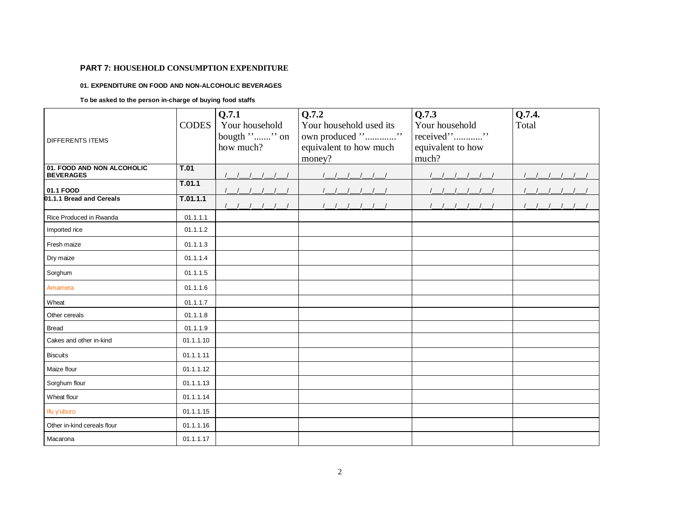#### **01. EXPENDITURE ON FOOD AND NON-ALCOHOLIC BEVERAGES**

#### **To be asked to the person in-charge of buying food staffs**

| <b>DIFFERENTS ITEMS</b>                        | <b>CODES</b> | Q.7.1<br>Your household<br>bougth "" on<br>how much? | Q.7.2<br>Your household used its<br>own produced ""<br>equivalent to how much | Q.7.3<br>Your household<br>received""<br>equivalent to how | Q.7.4.<br>Total |
|------------------------------------------------|--------------|------------------------------------------------------|-------------------------------------------------------------------------------|------------------------------------------------------------|-----------------|
|                                                |              |                                                      | money?                                                                        | much?                                                      |                 |
| 01. FOOD AND NON ALCOHOLIC<br><b>BEVERAGES</b> | T.01         |                                                      |                                                                               |                                                            |                 |
| 01.1 FOOD                                      | T.01.1       |                                                      |                                                                               |                                                            |                 |
| 01.1.1 Bread and Cereals                       | T.01.1.1     |                                                      |                                                                               |                                                            |                 |
| Rice Produced in Rwanda                        | 01.1.1.1     |                                                      |                                                                               |                                                            |                 |
| Imported rice                                  | 01.1.1.2     |                                                      |                                                                               |                                                            |                 |
| Fresh maize                                    | 01.1.1.3     |                                                      |                                                                               |                                                            |                 |
| Dry maize                                      | 01.1.1.4     |                                                      |                                                                               |                                                            |                 |
| Sorghum                                        | 01.1.1.5     |                                                      |                                                                               |                                                            |                 |
| Amamera                                        | 01.1.1.6     |                                                      |                                                                               |                                                            |                 |
| Wheat                                          | 01.1.1.7     |                                                      |                                                                               |                                                            |                 |
| Other cereals                                  | 01.1.1.8     |                                                      |                                                                               |                                                            |                 |
| <b>Bread</b>                                   | 01.1.1.9     |                                                      |                                                                               |                                                            |                 |
| Cakes and other in-kind                        | 01.1.1.10    |                                                      |                                                                               |                                                            |                 |
| <b>Biscuits</b>                                | 01.1.1.11    |                                                      |                                                                               |                                                            |                 |
| Maize flour                                    | 01.1.1.12    |                                                      |                                                                               |                                                            |                 |
| Sorghum flour                                  | 01.1.1.13    |                                                      |                                                                               |                                                            |                 |
| Wheat flour                                    | 01.1.1.14    |                                                      |                                                                               |                                                            |                 |
| Ifu y'uburo                                    | 01.1.1.15    |                                                      |                                                                               |                                                            |                 |
| Other in-kind cereals flour                    | 01.1.1.16    |                                                      |                                                                               |                                                            |                 |
| Macarona                                       | 01.1.1.17    |                                                      |                                                                               |                                                            |                 |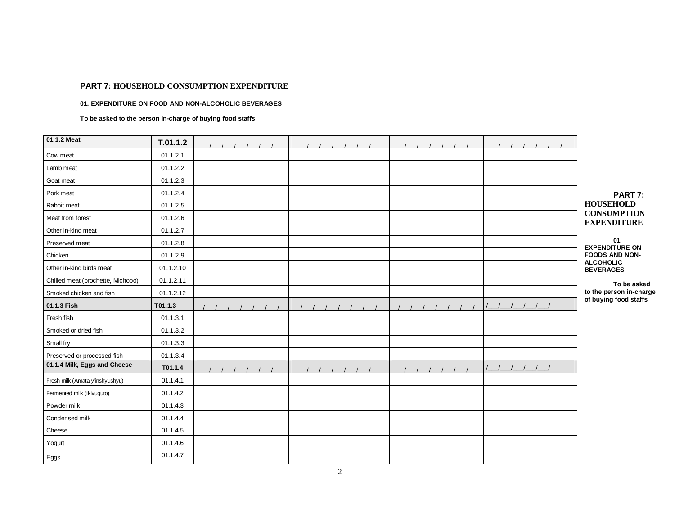#### **01. EXPENDITURE ON FOOD AND NON-ALCOHOLIC BEVERAGES**

**To be asked to the person in-charge of buying food staffs** 

| 01.1.2 Meat                       | T.01.1.2  |  |  |                                          |
|-----------------------------------|-----------|--|--|------------------------------------------|
| Cow meat                          | 01.1.2.1  |  |  |                                          |
| Lamb meat                         | 01.1.2.2  |  |  |                                          |
| Goat meat                         | 01.1.2.3  |  |  |                                          |
| Pork meat                         | 01.1.2.4  |  |  | PART 7:                                  |
| Rabbit meat                       | 01.1.2.5  |  |  | <b>HOUSEHOLD</b>                         |
| Meat from forest                  | 01.1.2.6  |  |  | <b>CONSUMPTION</b><br><b>EXPENDITURE</b> |
| Other in-kind meat                | 01.1.2.7  |  |  |                                          |
| Preserved meat                    | 01.1.2.8  |  |  | 01.<br><b>EXPENDITURE ON</b>             |
| Chicken                           | 01.1.2.9  |  |  | <b>FOODS AND NON-</b>                    |
| Other in-kind birds meat          | 01.1.2.10 |  |  | <b>ALCOHOLIC</b><br><b>BEVERAGES</b>     |
| Chilled meat (brochette, Michopo) | 01.1.2.11 |  |  | To be asked                              |
| Smoked chicken and fish           | 01.1.2.12 |  |  | to the person in-charge                  |
| 01.1.3 Fish                       | T01.1.3   |  |  | of buying food staffs                    |
| Fresh fish                        | 01.1.3.1  |  |  |                                          |
| Smoked or dried fish              | 01.1.3.2  |  |  |                                          |
| Small fry                         | 01.1.3.3  |  |  |                                          |
| Preserved or processed fish       | 01.1.3.4  |  |  |                                          |
| 01.1.4 Milk, Eggs and Cheese      | T01.1.4   |  |  |                                          |
| Fresh milk (Amata y'inshyushyu)   | 01.1.4.1  |  |  |                                          |
| Fermented milk (Ikivuguto)        | 01.1.4.2  |  |  |                                          |
| Powder milk                       | 01.1.4.3  |  |  |                                          |
| Condensed milk                    | 01.1.4.4  |  |  |                                          |
| Cheese                            | 01.1.4.5  |  |  |                                          |
| Yogurt                            | 01.1.4.6  |  |  |                                          |
| Eggs                              | 01.1.4.7  |  |  |                                          |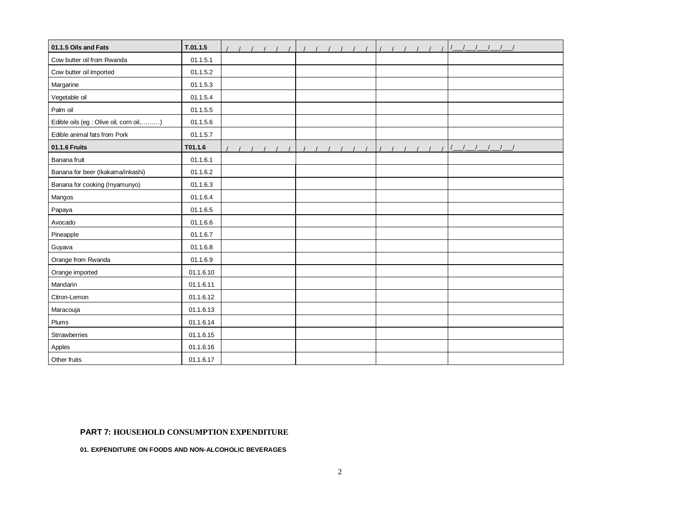| 01.1.5 Oils and Fats                     | T.01.1.5  |  |  |  |  |  |  |  |  |
|------------------------------------------|-----------|--|--|--|--|--|--|--|--|
| Cow butter oil from Rwanda               | 01.1.5.1  |  |  |  |  |  |  |  |  |
| Cow butter oil imported                  | 01.1.5.2  |  |  |  |  |  |  |  |  |
| Margarine                                | 01.1.5.3  |  |  |  |  |  |  |  |  |
| Vegetable oil                            | 01.1.5.4  |  |  |  |  |  |  |  |  |
| Palm oil                                 | 01.1.5.5  |  |  |  |  |  |  |  |  |
| Edible oils (eg : Olive oil, corn oil, ) | 01.1.5.6  |  |  |  |  |  |  |  |  |
| Edible animal fats from Pork             | 01.1.5.7  |  |  |  |  |  |  |  |  |
| 01.1.6 Fruits                            | T01.1.6   |  |  |  |  |  |  |  |  |
| Banana fruit                             | 01.1.6.1  |  |  |  |  |  |  |  |  |
| Banana for beer (Ikakama/inkashi)        | 01.1.6.2  |  |  |  |  |  |  |  |  |
| Banana for cooking (Inyamunyo)           | 01.1.6.3  |  |  |  |  |  |  |  |  |
| Mangos                                   | 01.1.6.4  |  |  |  |  |  |  |  |  |
| Papaya                                   | 01.1.6.5  |  |  |  |  |  |  |  |  |
| Avocado                                  | 01.1.6.6  |  |  |  |  |  |  |  |  |
| Pineapple                                | 01.1.6.7  |  |  |  |  |  |  |  |  |
| Guyava                                   | 01.1.6.8  |  |  |  |  |  |  |  |  |
| Orange from Rwanda                       | 01.1.6.9  |  |  |  |  |  |  |  |  |
| Orange imported                          | 01.1.6.10 |  |  |  |  |  |  |  |  |
| Mandarin                                 | 01.1.6.11 |  |  |  |  |  |  |  |  |
| Citron-Lemon                             | 01.1.6.12 |  |  |  |  |  |  |  |  |
| Maracouja                                | 01.1.6.13 |  |  |  |  |  |  |  |  |
| Plums                                    | 01.1.6.14 |  |  |  |  |  |  |  |  |
| Strrawberries                            | 01.1.6.15 |  |  |  |  |  |  |  |  |
| Apples                                   | 01.1.6.16 |  |  |  |  |  |  |  |  |
| Other fruits                             | 01.1.6.17 |  |  |  |  |  |  |  |  |

**01. EXPENDITURE ON FOODS AND NON-ALCOHOLIC BEVERAGES**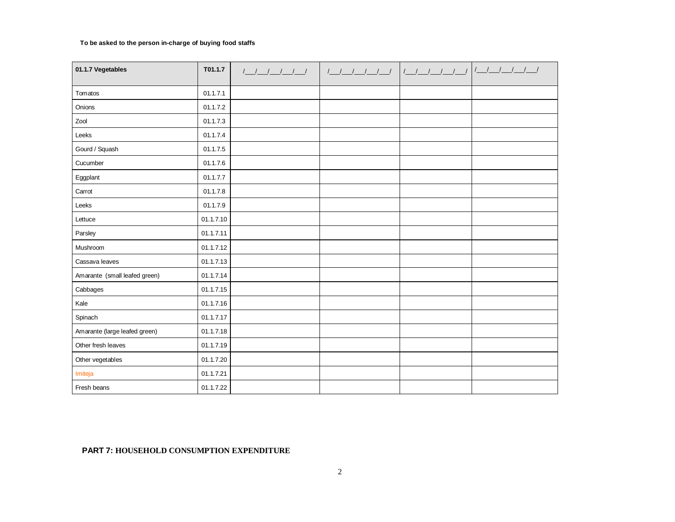### **To be asked to the person in-charge of buying food staffs**

| 01.1.7 Vegetables             | T01.1.7   | $\begin{picture}(120,10) \put(0,0){\dashbox{0.5}(10,0){ }} \put(15,0){\circle{10}} \put(15,0){\circle{10}} \put(15,0){\circle{10}} \put(15,0){\circle{10}} \put(15,0){\circle{10}} \put(15,0){\circle{10}} \put(15,0){\circle{10}} \put(15,0){\circle{10}} \put(15,0){\circle{10}} \put(15,0){\circle{10}} \put(15,0){\circle{10}} \put(15,0){\circle{10}} \put(15,0){\circle{10}} \put(15$ |  |  |
|-------------------------------|-----------|---------------------------------------------------------------------------------------------------------------------------------------------------------------------------------------------------------------------------------------------------------------------------------------------------------------------------------------------------------------------------------------------|--|--|
|                               |           |                                                                                                                                                                                                                                                                                                                                                                                             |  |  |
| Tomatos                       | 01.1.7.1  |                                                                                                                                                                                                                                                                                                                                                                                             |  |  |
| Onions                        | 01.1.7.2  |                                                                                                                                                                                                                                                                                                                                                                                             |  |  |
| Zool                          | 01.1.7.3  |                                                                                                                                                                                                                                                                                                                                                                                             |  |  |
| Leeks                         | 01.1.7.4  |                                                                                                                                                                                                                                                                                                                                                                                             |  |  |
| Gourd / Squash                | 01.1.7.5  |                                                                                                                                                                                                                                                                                                                                                                                             |  |  |
| Cucumber                      | 01.1.7.6  |                                                                                                                                                                                                                                                                                                                                                                                             |  |  |
| Eggplant                      | 01.1.7.7  |                                                                                                                                                                                                                                                                                                                                                                                             |  |  |
| Carrot                        | 01.1.7.8  |                                                                                                                                                                                                                                                                                                                                                                                             |  |  |
| Leeks                         | 01.1.7.9  |                                                                                                                                                                                                                                                                                                                                                                                             |  |  |
| Lettuce                       | 01.1.7.10 |                                                                                                                                                                                                                                                                                                                                                                                             |  |  |
| Parsley                       | 01.1.7.11 |                                                                                                                                                                                                                                                                                                                                                                                             |  |  |
| Mushroom                      | 01.1.7.12 |                                                                                                                                                                                                                                                                                                                                                                                             |  |  |
| Cassava leaves                | 01.1.7.13 |                                                                                                                                                                                                                                                                                                                                                                                             |  |  |
| Amarante (small leafed green) | 01.1.7.14 |                                                                                                                                                                                                                                                                                                                                                                                             |  |  |
| Cabbages                      | 01.1.7.15 |                                                                                                                                                                                                                                                                                                                                                                                             |  |  |
| Kale                          | 01.1.7.16 |                                                                                                                                                                                                                                                                                                                                                                                             |  |  |
| Spinach                       | 01.1.7.17 |                                                                                                                                                                                                                                                                                                                                                                                             |  |  |
| Amarante (large leafed green) | 01.1.7.18 |                                                                                                                                                                                                                                                                                                                                                                                             |  |  |
| Other fresh leaves            | 01.1.7.19 |                                                                                                                                                                                                                                                                                                                                                                                             |  |  |
| Other vegetables              | 01.1.7.20 |                                                                                                                                                                                                                                                                                                                                                                                             |  |  |
| Imiteja                       | 01.1.7.21 |                                                                                                                                                                                                                                                                                                                                                                                             |  |  |
| Fresh beans                   | 01.1.7.22 |                                                                                                                                                                                                                                                                                                                                                                                             |  |  |

### **PART 7: HOUSEHOLD CONSUMPTION EXPENDITURE**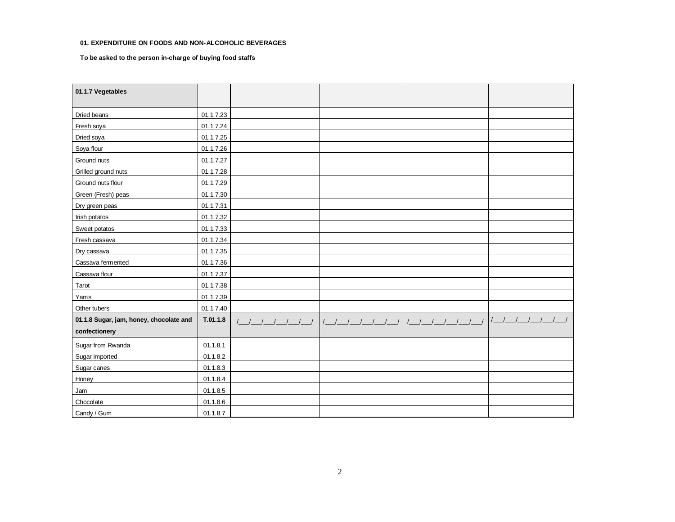#### **01. EXPENDITURE ON FOODS AND NON-ALCOHOLIC BEVERAGES**

**To be asked to the person in-charge of buying food staffs** 

| 01.1.7 Vegetables                       |           |  |                         |
|-----------------------------------------|-----------|--|-------------------------|
| Dried beans                             | 01.1.7.23 |  |                         |
| Fresh soya                              | 01.1.7.24 |  |                         |
| Dried soya                              | 01.1.7.25 |  |                         |
| Soya flour                              | 01.1.7.26 |  |                         |
| Ground nuts                             | 01.1.7.27 |  |                         |
| Grilled ground nuts                     | 01.1.7.28 |  |                         |
| Ground nuts flour                       | 01.1.7.29 |  |                         |
| Green (Fresh) peas                      | 01.1.7.30 |  |                         |
| Dry green peas                          | 01.1.7.31 |  |                         |
| Irish potatos                           | 01.1.7.32 |  |                         |
| Sweet potatos                           | 01.1.7.33 |  |                         |
| Fresh cassava                           | 01.1.7.34 |  |                         |
| Dry cassava                             | 01.1.7.35 |  |                         |
| Cassava fermented                       | 01.1.7.36 |  |                         |
| Cassava flour                           | 01.1.7.37 |  |                         |
| Tarot                                   | 01.1.7.38 |  |                         |
| Yams                                    | 01.1.7.39 |  |                         |
| Other tubers                            | 01.1.7.40 |  |                         |
| 01.1.8 Sugar, jam, honey, chocolate and | T.01.1.8  |  | $1$ $1$ $1$ $1$ $1$ $1$ |
| confectionery                           |           |  |                         |
| Sugar from Rwanda                       | 01.1.8.1  |  |                         |
| Sugar imported                          | 01.1.8.2  |  |                         |
| Sugar canes                             | 01.1.8.3  |  |                         |
| Honey                                   | 01.1.8.4  |  |                         |
| Jam                                     | 01.1.8.5  |  |                         |
| Chocolate                               | 01.1.8.6  |  |                         |
| Candy / Gum                             | 01.1.8.7  |  |                         |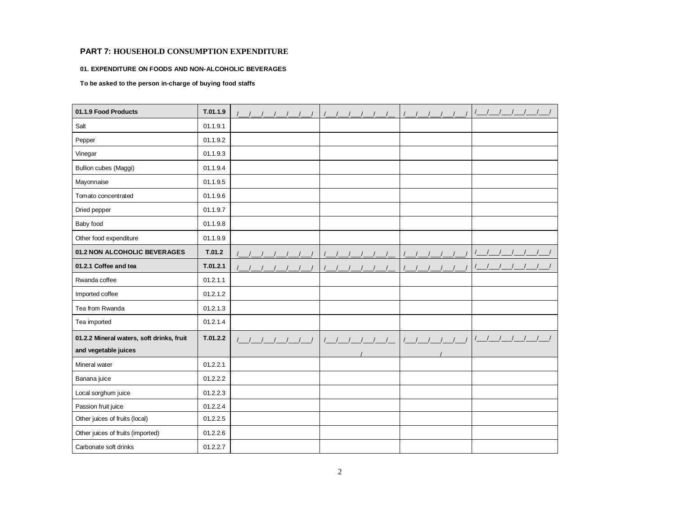#### **01. EXPENDITURE ON FOODS AND NON-ALCOHOLIC BEVERAGES**

**To be asked to the person in-charge of buying food staffs** 

| 01.1.9 Food Products                                              | T.01.1.9 |                     |         |
|-------------------------------------------------------------------|----------|---------------------|---------|
| Salt                                                              | 01.1.9.1 |                     |         |
| Pepper                                                            | 01.1.9.2 |                     |         |
| Vinegar                                                           | 01.1.9.3 |                     |         |
| <b>Bullion cubes (Maggi)</b>                                      | 01.1.9.4 |                     |         |
| Mayonnaise                                                        | 01.1.9.5 |                     |         |
| Tomato concentrated                                               | 01.1.9.6 |                     |         |
| Dried pepper                                                      | 01.1.9.7 |                     |         |
| Baby food                                                         | 01.1.9.8 |                     |         |
| Other food expenditure                                            | 01.1.9.9 |                     |         |
| 01.2 NON ALCOHOLIC BEVERAGES                                      | T.01.2   |                     |         |
| 01.2.1 Coffee and tea                                             | T.01.2.1 |                     |         |
| Rwanda coffee                                                     | 01.2.1.1 |                     |         |
| Imported coffee                                                   | 01.2.1.2 |                     |         |
| Tea from Rwanda                                                   | 01.2.1.3 |                     |         |
| Tea imported                                                      | 01.2.1.4 |                     |         |
| 01.2.2 Mineral waters, soft drinks, fruit<br>and vegetable juices | T.01.2.2 | $1 \quad 1 \quad 1$ | $1 - 1$ |
| Mineral water                                                     | 01.2.2.1 |                     |         |
| Banana juice                                                      | 01.2.2.2 |                     |         |
| Local sorghum juice                                               | 01.2.2.3 |                     |         |
| Passion fruit juice                                               | 01.2.2.4 |                     |         |
| Other juices of fruits (local)                                    | 01.2.2.5 |                     |         |
| Other juices of fruits (imported)                                 | 01.2.2.6 |                     |         |
| Carbonate soft drinks                                             | 01.2.2.7 |                     |         |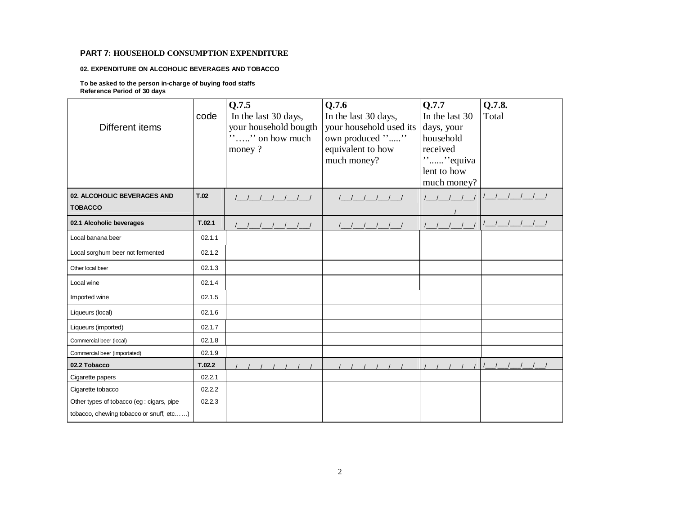#### **02. EXPENDITURE ON ALCOHOLIC BEVERAGES AND TOBACCO**

**To be asked to the person in-charge of buying food staffs Reference Period of 30 days**

| Different items                                                                      | code   | Q.7.5<br>In the last 30 days,<br>your household bougth<br>$\cdots$ on how much<br>money? | Q.7.6<br>In the last 30 days,<br>your household used its<br>own produced ""<br>equivalent to how<br>much money? | Q.7.7<br>In the last 30<br>days, your<br>household<br>received<br>"" equiva<br>lent to how<br>much money? | Q.7.8.<br>Total |
|--------------------------------------------------------------------------------------|--------|------------------------------------------------------------------------------------------|-----------------------------------------------------------------------------------------------------------------|-----------------------------------------------------------------------------------------------------------|-----------------|
| 02. ALCOHOLIC BEVERAGES AND<br><b>TOBACCO</b>                                        | T.02   | ////////                                                                                 | 1 1 1 1 1 1                                                                                                     |                                                                                                           |                 |
| 02.1 Alcoholic beverages                                                             | T.02.1 |                                                                                          |                                                                                                                 |                                                                                                           |                 |
| Local banana beer                                                                    | 02.1.1 |                                                                                          |                                                                                                                 |                                                                                                           |                 |
| Local sorghum beer not fermented                                                     | 02.1.2 |                                                                                          |                                                                                                                 |                                                                                                           |                 |
| Other local beer                                                                     | 02.1.3 |                                                                                          |                                                                                                                 |                                                                                                           |                 |
| Local wine                                                                           | 02.1.4 |                                                                                          |                                                                                                                 |                                                                                                           |                 |
| Imported wine                                                                        | 02.1.5 |                                                                                          |                                                                                                                 |                                                                                                           |                 |
| Liqueurs (local)                                                                     | 02.1.6 |                                                                                          |                                                                                                                 |                                                                                                           |                 |
| Liqueurs (imported)                                                                  | 02.1.7 |                                                                                          |                                                                                                                 |                                                                                                           |                 |
| Commercial beer (local)                                                              | 02.1.8 |                                                                                          |                                                                                                                 |                                                                                                           |                 |
| Commercial beer (importated)                                                         | 02.1.9 |                                                                                          |                                                                                                                 |                                                                                                           |                 |
| 02.2 Tobacco                                                                         | T.02.2 |                                                                                          |                                                                                                                 |                                                                                                           |                 |
| Cigarette papers                                                                     | 02.2.1 |                                                                                          |                                                                                                                 |                                                                                                           |                 |
| Cigarette tobacco                                                                    | 02.2.2 |                                                                                          |                                                                                                                 |                                                                                                           |                 |
| Other types of tobacco (eg : cigars, pipe<br>tobacco, chewing tobacco or snuff, etc) | 02.2.3 |                                                                                          |                                                                                                                 |                                                                                                           |                 |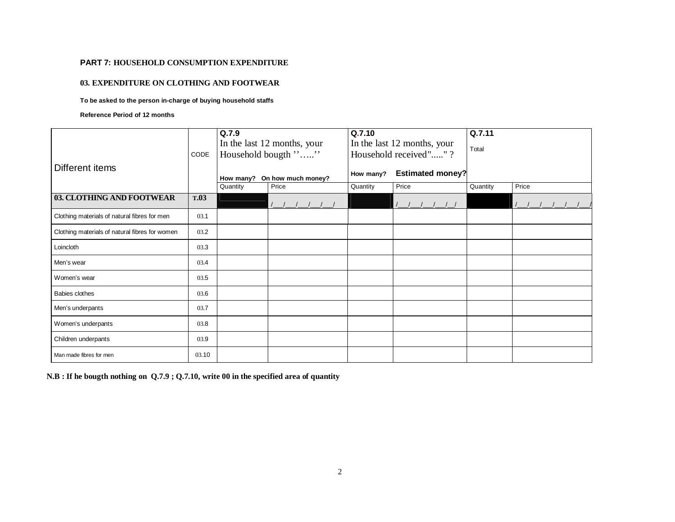### **03. EXPENDITURE ON CLOTHING AND FOOTWEAR**

### **To be asked to the person in-charge of buying household staffs**

**Reference Period of 12 months**

|                                                |             | Q.7.9    |                                                    | Q.7.10<br>In the last 12 months, your |                         | Q.7.11   |       |
|------------------------------------------------|-------------|----------|----------------------------------------------------|---------------------------------------|-------------------------|----------|-------|
|                                                | CODE        |          | In the last 12 months, your<br>Household bougth "" |                                       | Household received""?   | Total    |       |
| Different items                                |             |          |                                                    |                                       |                         |          |       |
|                                                |             |          | How many? On how much money?                       | How many?                             | <b>Estimated money?</b> |          |       |
|                                                |             | Quantity | Price                                              | Quantity                              | Price                   | Quantity | Price |
| 03. CLOTHING AND FOOTWEAR                      | <b>T.03</b> |          |                                                    |                                       |                         |          |       |
| Clothing materials of natural fibres for men   | 03.1        |          |                                                    |                                       |                         |          |       |
| Clothing materials of natural fibres for women | 03.2        |          |                                                    |                                       |                         |          |       |
| Loincloth                                      | 03.3        |          |                                                    |                                       |                         |          |       |
| Men's wear                                     | 03.4        |          |                                                    |                                       |                         |          |       |
| Women's wear                                   | 03.5        |          |                                                    |                                       |                         |          |       |
| Babies clothes                                 | 03.6        |          |                                                    |                                       |                         |          |       |
| Men's underpants                               | 03.7        |          |                                                    |                                       |                         |          |       |
| Women's underpants                             | 03.8        |          |                                                    |                                       |                         |          |       |
| Children underpants                            | 03.9        |          |                                                    |                                       |                         |          |       |
| Man made fibres for men                        | 03.10       |          |                                                    |                                       |                         |          |       |

 **N.B : If he bougth nothing on Q.7.9 ; Q.7.10, write 00 in the specified area of quantity**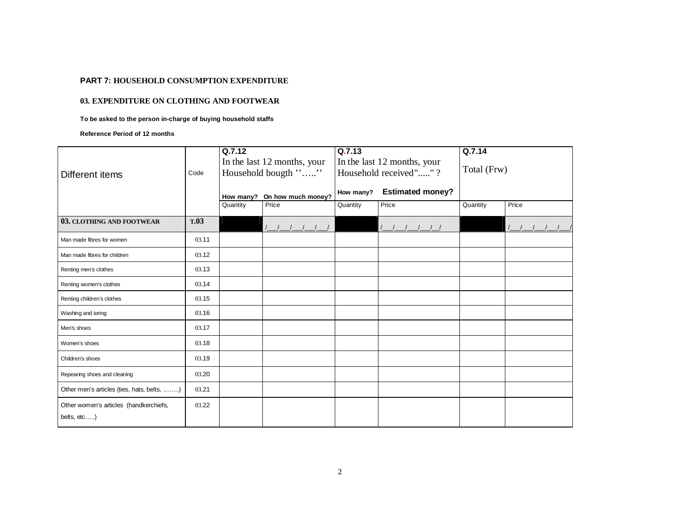### **03. EXPENDITURE ON CLOTHING AND FOOTWEAR**

**To be asked to the person in-charge of buying household staffs**

**Reference Period of 12 months**

|                                            |       | Q.7.12   | Q.7.13                                |           |                             | Q.7.14      |       |  |
|--------------------------------------------|-------|----------|---------------------------------------|-----------|-----------------------------|-------------|-------|--|
|                                            |       |          | In the last 12 months, your           |           | In the last 12 months, your | Total (Frw) |       |  |
| Different items                            | Code  |          | Household bougth ""                   |           | Household received""?       |             |       |  |
|                                            |       |          |                                       | How many? | <b>Estimated money?</b>     |             |       |  |
|                                            |       | Quantity | How many? On how much money?<br>Price | Quantity  | Price                       | Quantity    | Price |  |
|                                            |       |          |                                       |           |                             |             |       |  |
| 03. CLOTHING AND FOOTWEAR                  | T.03  |          |                                       |           |                             |             |       |  |
| Man made fibres for women                  | 03.11 |          |                                       |           |                             |             |       |  |
| Man made fibres for children               | 03.12 |          |                                       |           |                             |             |       |  |
| Renting men's clothes                      | 03.13 |          |                                       |           |                             |             |       |  |
| Renting women's clothes                    | 03.14 |          |                                       |           |                             |             |       |  |
| Renting children's clothes                 | 03.15 |          |                                       |           |                             |             |       |  |
| Washing and ioring                         | 03.16 |          |                                       |           |                             |             |       |  |
| Men's shoes                                | 03.17 |          |                                       |           |                             |             |       |  |
| Women's shoes                              | 03.18 |          |                                       |           |                             |             |       |  |
| Children's shoes                           | 03.19 |          |                                       |           |                             |             |       |  |
| Repearing shoes and cleaning               | 03.20 |          |                                       |           |                             |             |       |  |
| Other men's articles (ties, hats, belts, ) | 03.21 |          |                                       |           |                             |             |       |  |
| Other women's articles (handkerchiefs,     | 03.22 |          |                                       |           |                             |             |       |  |
| belts, etc)                                |       |          |                                       |           |                             |             |       |  |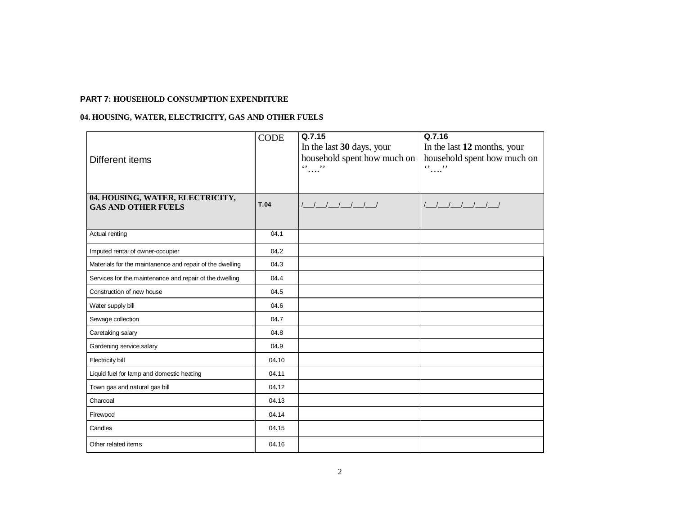### **04. HOUSING, WATER, ELECTRICITY, GAS AND OTHER FUELS**

| Different items                                                | <b>CODE</b> | Q.7.15<br>In the last 30 days, your<br>household spent how much on<br>$\mathbf{0}$ $\ldots$ $\mathbf{0}$ | Q.7.16<br>In the last 12 months, your<br>household spent how much on<br>$\ldots$ " |
|----------------------------------------------------------------|-------------|----------------------------------------------------------------------------------------------------------|------------------------------------------------------------------------------------|
| 04. HOUSING, WATER, ELECTRICITY,<br><b>GAS AND OTHER FUELS</b> | <b>T.04</b> | <u>             </u>                                                                                     | $1$ $1$ $1$ $1$ $1$ $1$                                                            |
| Actual renting                                                 | 04.1        |                                                                                                          |                                                                                    |
| Imputed rental of owner-occupier                               | 04.2        |                                                                                                          |                                                                                    |
| Materials for the maintanence and repair of the dwelling       | 04.3        |                                                                                                          |                                                                                    |
| Services for the maintenance and repair of the dwelling        | 04.4        |                                                                                                          |                                                                                    |
| Construction of new house                                      | 04.5        |                                                                                                          |                                                                                    |
| Water supply bill                                              | 04.6        |                                                                                                          |                                                                                    |
| Sewage collection                                              | 04.7        |                                                                                                          |                                                                                    |
| Caretaking salary                                              | 04.8        |                                                                                                          |                                                                                    |
| Gardening service salary                                       | 04.9        |                                                                                                          |                                                                                    |
| Electricity bill                                               | 04.10       |                                                                                                          |                                                                                    |
| Liquid fuel for lamp and domestic heating                      | 04.11       |                                                                                                          |                                                                                    |
| Town gas and natural gas bill                                  | 04.12       |                                                                                                          |                                                                                    |
| Charcoal                                                       | 04.13       |                                                                                                          |                                                                                    |
| Firewood                                                       | 04.14       |                                                                                                          |                                                                                    |
| Candles                                                        | 04.15       |                                                                                                          |                                                                                    |
| Other related items                                            | 04.16       |                                                                                                          |                                                                                    |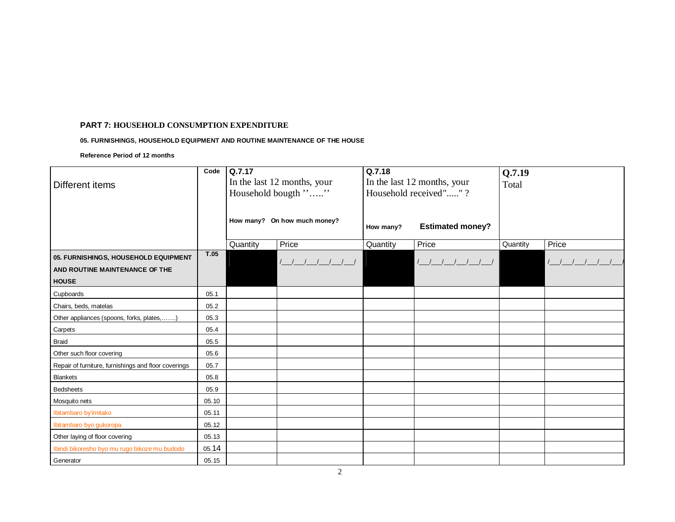### **05. FURNISHINGS, HOUSEHOLD EQUIPMENT AND ROUTINE MAINTENANCE OF THE HOUSE**

**Reference Period of 12 months** 

|                                                      | Code  | Q.7.17   |                              | Q.7.18    |                             | Q.7.19   |               |
|------------------------------------------------------|-------|----------|------------------------------|-----------|-----------------------------|----------|---------------|
| Different items                                      |       |          | In the last 12 months, your  |           | In the last 12 months, your | Total    |               |
|                                                      |       |          | Household bougth ""          |           | Household received""?       |          |               |
|                                                      |       |          |                              |           |                             |          |               |
|                                                      |       |          | How many? On how much money? |           |                             |          |               |
|                                                      |       |          |                              | How many? | <b>Estimated money?</b>     |          |               |
|                                                      |       | Quantity | Price                        | Quantity  | Price                       | Quantity | Price         |
| 05. FURNISHINGS, HOUSEHOLD EQUIPMENT                 | T.05  |          |                              |           |                             |          |               |
| AND ROUTINE MAINTENANCE OF THE                       |       |          | $1 - 1 - 1 - 1 - 1 - 1$      |           | $1$ $1$ $1$ $1$ $1$ $1$     |          | $\frac{1}{2}$ |
| <b>HOUSE</b>                                         |       |          |                              |           |                             |          |               |
|                                                      |       |          |                              |           |                             |          |               |
| Cupboards                                            | 05.1  |          |                              |           |                             |          |               |
| Chairs, beds, matelas                                | 05.2  |          |                              |           |                             |          |               |
| Other appliances (spoons, forks, plates,)            | 05.3  |          |                              |           |                             |          |               |
| Carpets                                              | 05.4  |          |                              |           |                             |          |               |
| <b>Braid</b>                                         | 05.5  |          |                              |           |                             |          |               |
| Other such floor covering                            | 05.6  |          |                              |           |                             |          |               |
| Repair of furniture, furnishings and floor coverings | 05.7  |          |                              |           |                             |          |               |
| <b>Blankets</b>                                      | 05.8  |          |                              |           |                             |          |               |
| <b>Bedsheets</b>                                     | 05.9  |          |                              |           |                             |          |               |
| Mosquito nets                                        | 05.10 |          |                              |           |                             |          |               |
| Ibitambaro by'imitako                                | 05.11 |          |                              |           |                             |          |               |
| Ibitambaro byo gukoropa                              | 05.12 |          |                              |           |                             |          |               |
| Other laying of floor covering                       | 05.13 |          |                              |           |                             |          |               |
| Ibindi bikoresho byo mu rugo bikoze mu budodo        | 05.14 |          |                              |           |                             |          |               |
| Generator                                            | 05.15 |          |                              |           |                             |          |               |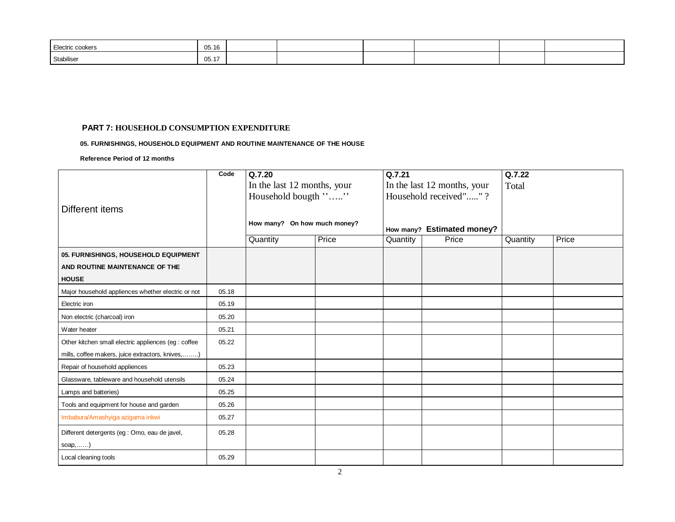| Electric cookers | 05.16                           |  |  |  |
|------------------|---------------------------------|--|--|--|
| Stabiliser       | <b>OF</b><br>$\rightarrow$<br>U |  |  |  |

### **05. FURNISHINGS, HOUSEHOLD EQUIPMENT AND ROUTINE MAINTENANCE OF THE HOUSE**

#### **Reference Period of 12 months**

| Different items                                                                                          | Code  | Q.7.20<br>In the last 12 months, your<br>Household bougth "" |       | Q.7.21<br>In the last 12 months, your<br>Household received""? |                            | Q.7.22<br>Total |       |
|----------------------------------------------------------------------------------------------------------|-------|--------------------------------------------------------------|-------|----------------------------------------------------------------|----------------------------|-----------------|-------|
|                                                                                                          |       | How many? On how much money?                                 |       |                                                                | How many? Estimated money? |                 |       |
|                                                                                                          |       | Quantity                                                     | Price | Quantity                                                       | Price                      | Quantity        | Price |
| 05. FURNISHINGS, HOUSEHOLD EQUIPMENT<br>AND ROUTINE MAINTENANCE OF THE<br><b>HOUSE</b>                   |       |                                                              |       |                                                                |                            |                 |       |
| Major household appliences whether electric or not                                                       | 05.18 |                                                              |       |                                                                |                            |                 |       |
| Electric iron                                                                                            | 05.19 |                                                              |       |                                                                |                            |                 |       |
| Non electric (charcoal) iron                                                                             | 05.20 |                                                              |       |                                                                |                            |                 |       |
| Water heater                                                                                             | 05.21 |                                                              |       |                                                                |                            |                 |       |
| Other kitchen small electric appliences (eg : coffee<br>mills, coffee makers, juice extractors, knives,) | 05.22 |                                                              |       |                                                                |                            |                 |       |
| Repair of household appliences                                                                           | 05.23 |                                                              |       |                                                                |                            |                 |       |
| Glassware, tableware and household utensils                                                              | 05.24 |                                                              |       |                                                                |                            |                 |       |
| Lamps and batteries)                                                                                     | 05.25 |                                                              |       |                                                                |                            |                 |       |
| Tools and equipment for house and garden                                                                 | 05.26 |                                                              |       |                                                                |                            |                 |       |
| Imbabura/Amashyiga azigama inkwi                                                                         | 05.27 |                                                              |       |                                                                |                            |                 |       |
| Different detergents (eg : Omo, eau de javel,<br>soap, )                                                 | 05.28 |                                                              |       |                                                                |                            |                 |       |
| Local cleaning tools                                                                                     | 05.29 |                                                              |       |                                                                |                            |                 |       |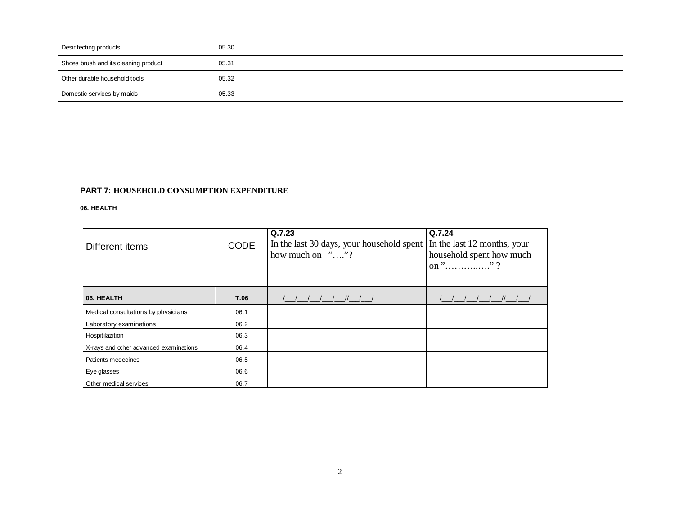| Desinfecting products                | 05.30 |  |  |  |
|--------------------------------------|-------|--|--|--|
| Shoes brush and its cleaning product | 05.31 |  |  |  |
| Other durable household tools        | 05.32 |  |  |  |
| Domestic services by maids           | 05.33 |  |  |  |

#### **06. HEALTH**

| Different items                        | <b>CODE</b> | Q.7.23<br>In the last 30 days, your household spent<br>how much on $\cdots$ "? | Q.7.24<br>In the last 12 months, your<br>household spent how much |
|----------------------------------------|-------------|--------------------------------------------------------------------------------|-------------------------------------------------------------------|
| 06. HEALTH                             | T.06        | 1 1 11 1 1                                                                     | $\left  \begin{array}{cc} \end{array} \right $                    |
| Medical consultations by physicians    | 06.1        |                                                                                |                                                                   |
| Laboratory examinations                | 06.2        |                                                                                |                                                                   |
| Hospitilazition                        | 06.3        |                                                                                |                                                                   |
| X-rays and other advanced examinations | 06.4        |                                                                                |                                                                   |
| Patients medecines                     | 06.5        |                                                                                |                                                                   |
| Eye glasses                            | 06.6        |                                                                                |                                                                   |
| Other medical services                 | 06.7        |                                                                                |                                                                   |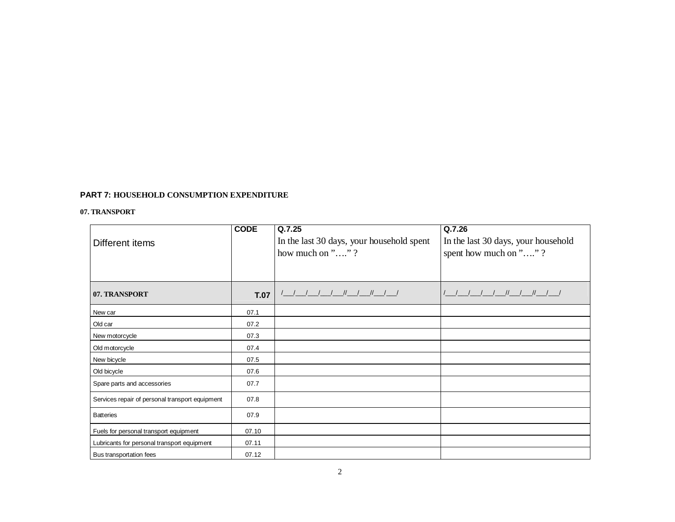### **07. TRANSPORT**

|                                                 | <b>CODE</b> | Q.7.25                                    | Q.7.26                              |
|-------------------------------------------------|-------------|-------------------------------------------|-------------------------------------|
| Different items                                 |             | In the last 30 days, your household spent | In the last 30 days, your household |
|                                                 |             | how much on " $\dots$ "?                  | spent how much on ""?               |
|                                                 |             |                                           |                                     |
|                                                 |             |                                           |                                     |
| 07. TRANSPORT                                   | <b>T.07</b> | <u>                       </u>            | <u>                       </u>      |
| New car                                         | 07.1        |                                           |                                     |
| Old car                                         | 07.2        |                                           |                                     |
| New motorcycle                                  | 07.3        |                                           |                                     |
| Old motorcycle                                  | 07.4        |                                           |                                     |
| New bicycle                                     | 07.5        |                                           |                                     |
| Old bicycle                                     | 07.6        |                                           |                                     |
| Spare parts and accessories                     | 07.7        |                                           |                                     |
| Services repair of personal transport equipment | 07.8        |                                           |                                     |
| <b>Batteries</b>                                | 07.9        |                                           |                                     |
| Fuels for personal transport equipment          | 07.10       |                                           |                                     |
| Lubricants for personal transport equipment     | 07.11       |                                           |                                     |
| Bus transportation fees                         | 07.12       |                                           |                                     |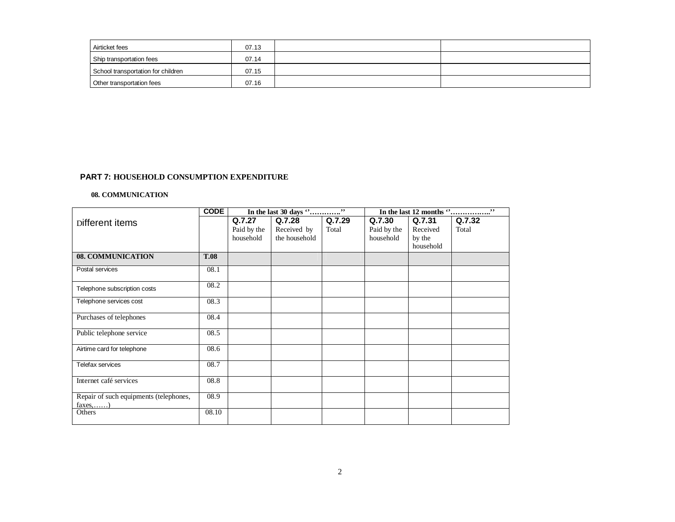| Airticket fees                     | 07.13 |  |
|------------------------------------|-------|--|
| Ship transportation fees           | 07.14 |  |
| School transportation for children | 07.15 |  |
| Other transportation fees          | 07.16 |  |

#### **08. COMMUNICATION**

|                                                           | <b>CODE</b> |                                    |                                        |                 | , ,<br>In the last 12 months "     |                                           |                 |
|-----------------------------------------------------------|-------------|------------------------------------|----------------------------------------|-----------------|------------------------------------|-------------------------------------------|-----------------|
| Different items                                           |             | Q.7.27<br>Paid by the<br>household | Q.7.28<br>Received by<br>the household | Q.7.29<br>Total | Q.7.30<br>Paid by the<br>household | Q.7.31<br>Received<br>by the<br>household | Q.7.32<br>Total |
| 08. COMMUNICATION                                         | <b>T.08</b> |                                    |                                        |                 |                                    |                                           |                 |
| Postal services                                           | 08.1        |                                    |                                        |                 |                                    |                                           |                 |
| Telephone subscription costs                              | 08.2        |                                    |                                        |                 |                                    |                                           |                 |
| Telephone services cost                                   | 08.3        |                                    |                                        |                 |                                    |                                           |                 |
| Purchases of telephones                                   | 08.4        |                                    |                                        |                 |                                    |                                           |                 |
| Public telephone service                                  | 08.5        |                                    |                                        |                 |                                    |                                           |                 |
| Airtime card for telephone                                | 08.6        |                                    |                                        |                 |                                    |                                           |                 |
| Telefax services                                          | 08.7        |                                    |                                        |                 |                                    |                                           |                 |
| Internet café services                                    | 08.8        |                                    |                                        |                 |                                    |                                           |                 |
| Repair of such equipments (telephones,<br>$faxes, \ldots$ | 08.9        |                                    |                                        |                 |                                    |                                           |                 |
| Others                                                    | 08.10       |                                    |                                        |                 |                                    |                                           |                 |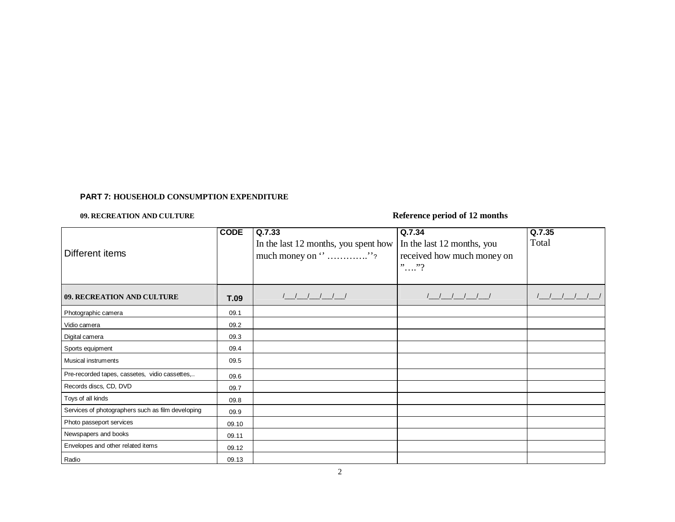## **09. RECREATION AND CULTURE Reference period of 12 months**

|                                                   | <b>CODE</b> | Q.7.33                                                                                  | Q.7.34                     | Q.7.35 |
|---------------------------------------------------|-------------|-----------------------------------------------------------------------------------------|----------------------------|--------|
|                                                   |             | In the last 12 months, you spent how                                                    | In the last 12 months, you | Total  |
| Different items                                   |             | much money on $\cdot \cdot \cdot \cdot \cdot \cdot \cdot \cdot \cdot \cdot \cdot \cdot$ | received how much money on |        |
|                                                   |             |                                                                                         | $\cdots$ "?                |        |
|                                                   |             |                                                                                         |                            |        |
| 09. RECREATION AND CULTURE                        | <b>T.09</b> | ///////                                                                                 | 11111                      |        |
| Photographic camera                               | 09.1        |                                                                                         |                            |        |
| Vidio camera                                      | 09.2        |                                                                                         |                            |        |
| Digital camera                                    | 09.3        |                                                                                         |                            |        |
| Sports equipment                                  | 09.4        |                                                                                         |                            |        |
| Musical instruments                               | 09.5        |                                                                                         |                            |        |
| Pre-recorded tapes, cassetes, vidio cassettes,    | 09.6        |                                                                                         |                            |        |
| Records discs, CD, DVD                            | 09.7        |                                                                                         |                            |        |
| Toys of all kinds                                 | 09.8        |                                                                                         |                            |        |
| Services of photographers such as film developing | 09.9        |                                                                                         |                            |        |
| Photo passeport services                          | 09.10       |                                                                                         |                            |        |
| Newspapers and books                              | 09.11       |                                                                                         |                            |        |
| Envelopes and other related items                 | 09.12       |                                                                                         |                            |        |
| Radio                                             | 09.13       |                                                                                         |                            |        |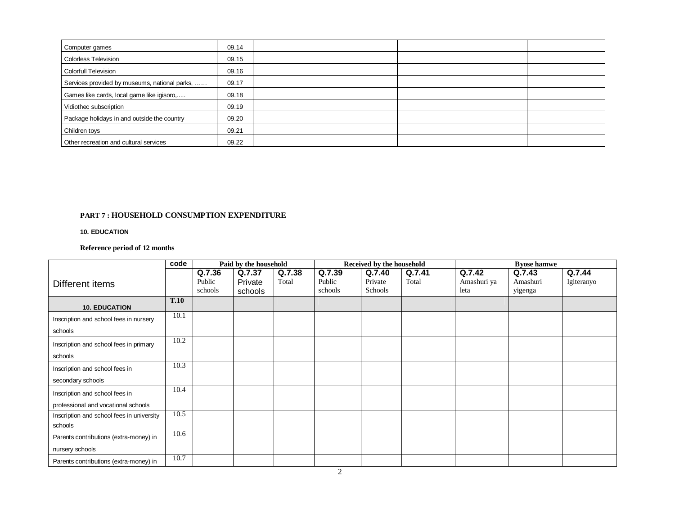| Computer games                                | 09.14 |  |  |
|-----------------------------------------------|-------|--|--|
| Colorless Television                          | 09.15 |  |  |
| Colorfull Television                          | 09.16 |  |  |
| Services provided by museums, national parks, | 09.17 |  |  |
| Games like cards, local game like igisoro,    | 09.18 |  |  |
| Vidiothec subscription                        | 09.19 |  |  |
| Package holidays in and outside the country   | 09.20 |  |  |
| Children toys                                 | 09.21 |  |  |
| Other recreation and cultural services        | 09.22 |  |  |

### **10. EDUCATION**

### **Reference period of 12 months**

|                                           | code | Paid by the household |         | Received by the household |         |         | <b>B</b> vose hamwe |             |          |            |
|-------------------------------------------|------|-----------------------|---------|---------------------------|---------|---------|---------------------|-------------|----------|------------|
|                                           |      | Q.7.36                | Q.7.37  | Q.7.38                    | Q.7.39  | Q.7.40  | Q.7.41              | Q.7.42      | Q.7.43   | Q.7.44     |
| Different items                           |      | Public                | Private | Total                     | Public  | Private | Total               | Amashuri ya | Amashuri | Igiteranyo |
|                                           |      | schools               | schools |                           | schools | Schools |                     | leta        | yigenga  |            |
|                                           | T.10 |                       |         |                           |         |         |                     |             |          |            |
| <b>10. EDUCATION</b>                      |      |                       |         |                           |         |         |                     |             |          |            |
| Inscription and school fees in nursery    | 10.1 |                       |         |                           |         |         |                     |             |          |            |
| schools                                   |      |                       |         |                           |         |         |                     |             |          |            |
| Inscription and school fees in primary    | 10.2 |                       |         |                           |         |         |                     |             |          |            |
| schools                                   |      |                       |         |                           |         |         |                     |             |          |            |
| Inscription and school fees in            | 10.3 |                       |         |                           |         |         |                     |             |          |            |
| secondary schools                         |      |                       |         |                           |         |         |                     |             |          |            |
| Inscription and school fees in            | 10.4 |                       |         |                           |         |         |                     |             |          |            |
| professional and vocational schools       |      |                       |         |                           |         |         |                     |             |          |            |
| Inscription and school fees in university | 10.5 |                       |         |                           |         |         |                     |             |          |            |
| schools                                   |      |                       |         |                           |         |         |                     |             |          |            |
| Parents contributions (extra-money) in    | 10.6 |                       |         |                           |         |         |                     |             |          |            |
| nursery schools                           |      |                       |         |                           |         |         |                     |             |          |            |
| Parents contributions (extra-money) in    | 10.7 |                       |         |                           |         |         |                     |             |          |            |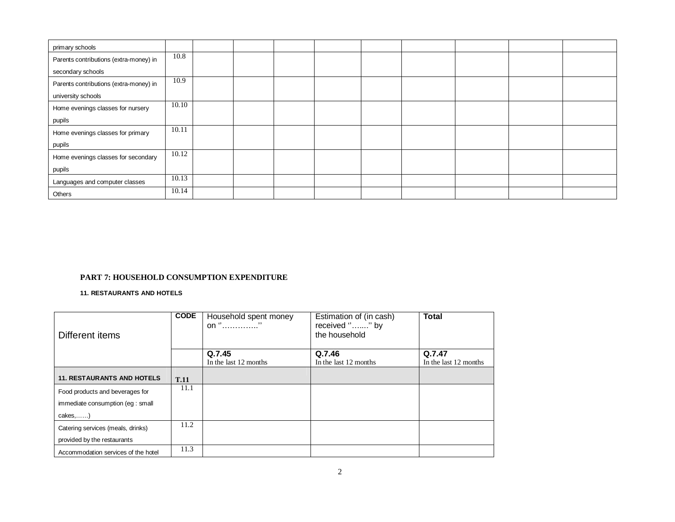| primary schools                        |       |  |  |  |  |  |
|----------------------------------------|-------|--|--|--|--|--|
| Parents contributions (extra-money) in | 10.8  |  |  |  |  |  |
| secondary schools                      |       |  |  |  |  |  |
| Parents contributions (extra-money) in | 10.9  |  |  |  |  |  |
| university schools                     |       |  |  |  |  |  |
| Home evenings classes for nursery      | 10.10 |  |  |  |  |  |
| pupils                                 |       |  |  |  |  |  |
| Home evenings classes for primary      | 10.11 |  |  |  |  |  |
| pupils                                 |       |  |  |  |  |  |
| Home evenings classes for secondary    | 10.12 |  |  |  |  |  |
| pupils                                 |       |  |  |  |  |  |
| Languages and computer classes         | 10.13 |  |  |  |  |  |
| Others                                 | 10.14 |  |  |  |  |  |

**11. RESTAURANTS AND HOTELS**

| Different items                     | <b>CODE</b> | Household spent money<br>on "" | Estimation of (in cash)<br>received "" by<br>the household | <b>Total</b>          |
|-------------------------------------|-------------|--------------------------------|------------------------------------------------------------|-----------------------|
|                                     |             |                                |                                                            |                       |
|                                     |             | Q.7.45                         | Q.7.46                                                     | Q.7.47                |
|                                     |             | In the last 12 months          | In the last 12 months                                      | In the last 12 months |
| <b>11. RESTAURANTS AND HOTELS</b>   | <b>T.11</b> |                                |                                                            |                       |
| Food products and beverages for     | 11.1        |                                |                                                            |                       |
| immediate consumption (eg : small   |             |                                |                                                            |                       |
| $cakes$ )                           |             |                                |                                                            |                       |
| Catering services (meals, drinks)   | 11.2        |                                |                                                            |                       |
| provided by the restaurants         |             |                                |                                                            |                       |
| Accommodation services of the hotel | 11.3        |                                |                                                            |                       |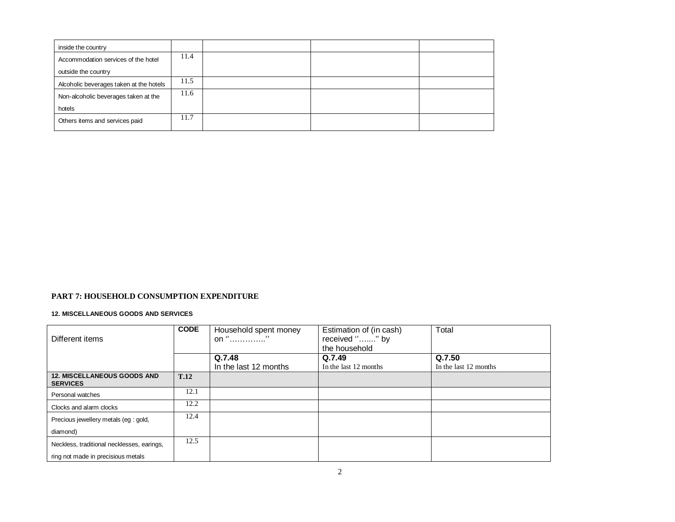| inside the country                      |      |  |  |
|-----------------------------------------|------|--|--|
| Accommodation services of the hotel     | 11.4 |  |  |
| outside the country                     |      |  |  |
| Alcoholic beverages taken at the hotels | 11.5 |  |  |
| Non-alcoholic beverages taken at the    | 11.6 |  |  |
| hotels                                  |      |  |  |
| Others items and services paid          | 11.7 |  |  |

#### **12. MISCELLANEOUS GOODS AND SERVICES**

| Different items                                       | <b>CODE</b> | Household spent money<br>on "" | Estimation of (in cash)<br>received "" by<br>the household | Total                 |
|-------------------------------------------------------|-------------|--------------------------------|------------------------------------------------------------|-----------------------|
|                                                       |             | Q.7.48                         | Q.7.49                                                     | Q.7.50                |
|                                                       |             | In the last 12 months          | In the last 12 months                                      | In the last 12 months |
| <b>12. MISCELLANEOUS GOODS AND</b><br><b>SERVICES</b> | <b>T.12</b> |                                |                                                            |                       |
| Personal watches                                      | 12.1        |                                |                                                            |                       |
| Clocks and alarm clocks                               | 12.2        |                                |                                                            |                       |
| Precious jewellery metals (eg : gold,                 | 12.4        |                                |                                                            |                       |
| diamond)                                              |             |                                |                                                            |                       |
| Neckless, traditional necklesses, earings,            | 12.5        |                                |                                                            |                       |
| ring not made in precisious metals                    |             |                                |                                                            |                       |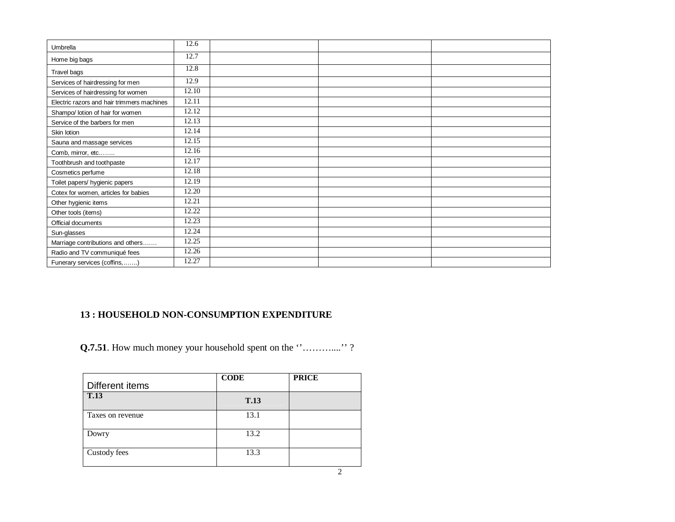| Umbrella                                   | 12.6  |  |  |
|--------------------------------------------|-------|--|--|
| Home big bags                              | 12.7  |  |  |
| Travel bags                                | 12.8  |  |  |
| Services of hairdressing for men           | 12.9  |  |  |
| Services of hairdressing for women         | 12.10 |  |  |
| Electric razors and hair trimmers machines | 12.11 |  |  |
| Shampo/ lotion of hair for women           | 12.12 |  |  |
| Service of the barbers for men             | 12.13 |  |  |
| Skin lotion                                | 12.14 |  |  |
| Sauna and massage services                 | 12.15 |  |  |
| Comb, mirror, etc                          | 12.16 |  |  |
| Toothbrush and toothpaste                  | 12.17 |  |  |
| Cosmetics perfume                          | 12.18 |  |  |
| Toilet papers/ hygienic papers             | 12.19 |  |  |
| Cotex for women, articles for babies       | 12.20 |  |  |
| Other hygienic items                       | 12.21 |  |  |
| Other tools (items)                        | 12.22 |  |  |
| Official documents                         | 12.23 |  |  |
| Sun-glasses                                | 12.24 |  |  |
| Marriage contributions and others          | 12.25 |  |  |
| Radio and TV communiqué fees               | 12.26 |  |  |
| Funerary services (coffins, )              | 12.27 |  |  |

# **13 : HOUSEHOLD NON-CONSUMPTION EXPENDITURE**

**Q.7.51**. How much money your household spent on the ''………….''?

| Different items  | <b>CODE</b> | <b>PRICE</b> |
|------------------|-------------|--------------|
| <b>T.13</b>      | <b>T.13</b> |              |
| Taxes on revenue | 13.1        |              |
| Dowry            | 13.2        |              |
| Custody fees     | 13.3        |              |